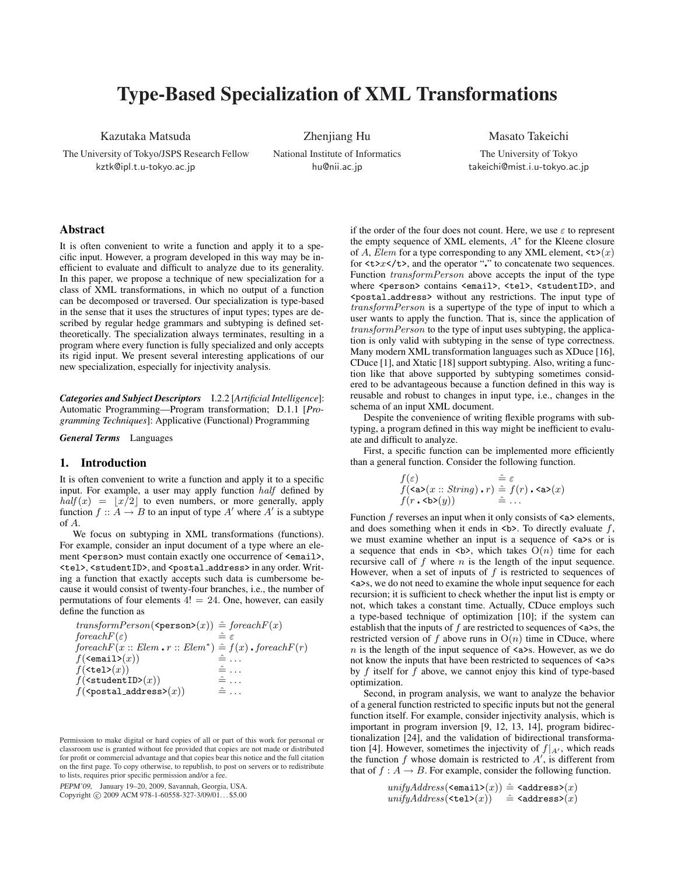# Type-Based Specialization of XML Transformations

Kazutaka Matsuda

The University of Tokyo/JSPS Research Fellow kztk@ipl.t.u-tokyo.ac.jp

Zhenjiang Hu National Institute of Informatics hu@nii.ac.jp

Masato Takeichi

The University of Tokyo takeichi@mist.i.u-tokyo.ac.jp

# Abstract

It is often convenient to write a function and apply it to a specific input. However, a program developed in this way may be inefficient to evaluate and difficult to analyze due to its generality. In this paper, we propose a technique of new specialization for a class of XML transformations, in which no output of a function can be decomposed or traversed. Our specialization is type-based in the sense that it uses the structures of input types; types are described by regular hedge grammars and subtyping is defined settheoretically. The specialization always terminates, resulting in a program where every function is fully specialized and only accepts its rigid input. We present several interesting applications of our new specialization, especially for injectivity analysis.

*Categories and Subject Descriptors* I.2.2 [*Artificial Intelligence*]: Automatic Programming—Program transformation; D.1.1 [*Programming Techniques*]: Applicative (Functional) Programming

*General Terms* Languages

## 1. Introduction

It is often convenient to write a function and apply it to a specific input. For example, a user may apply function *half* defined by  $half(x) = |x/2|$  to even numbers, or more generally, apply function  $f: A \to B$  to an input of type A' where A' is a subtype of *A*.

We focus on subtyping in XML transformations (functions). For example, consider an input document of a type where an element <person> must contain exactly one occurrence of <email>, <tel>, <studentID>, and <postal address> in any order. Writing a function that exactly accepts such data is cumbersome because it would consist of twenty-four branches, i.e., the number of permutations of four elements  $4! = 24$ . One, however, can easily define the function as

$$
\begin{array}{ll} \textit{transformPerson}(\texttt{\$person>(x))} \mathrel{\hat=} \textit{foreachF}(x) \\ \textit{foreachF}(\varepsilon) & \mathrel{\hat=} \varepsilon \\ \textit{foreachF}(x::Elem\centerdot r::Elem^*) \mathrel{\hat=} f(x)\centerdot \textit{foreachF}(r) \\ \textit{f}(\texttt{\{cemail>(x)\}}) & \mathrel{\hat=}\dots \\ \textit{f}(\texttt{stulentID>(x))} & \mathrel{\hat=}\dots \\ \textit{f}(\texttt{studentID>(x))} & \mathrel{\hat=}\dots \\ \textit{f}(\texttt{spostal.address>(x))} & \mathrel{\hat=}\dots \end{array}
$$

PEPM'09, January 19–20, 2009, Savannah, Georgia, USA. Copyright © 2009 ACM 978-1-60558-327-3/09/01... \$5.00 if the order of the four does not count. Here, we use *ε* to represent the empty sequence of XML elements, *A ∗* for the Kleene closure of *A*, *Elem* for a type corresponding to any XML element,  $\langle \textbf{t} \rangle(x)$ for  $\langle t \rangle x \langle t \rangle$ , and the operator "" to concatenate two sequences. Function *transformPerson* above accepts the input of the type where <person> contains <email>, <tel>, <studentID>, and <postal address> without any restrictions. The input type of *transformPerson* is a supertype of the type of input to which a user wants to apply the function. That is, since the application of *transformPerson* to the type of input uses subtyping, the application is only valid with subtyping in the sense of type correctness. Many modern XML transformation languages such as XDuce [16], CDuce [1], and Xtatic [18] support subtyping. Also, writing a function like that above supported by subtyping sometimes considered to be advantageous because a function defined in this way is reusable and robust to changes in input type, i.e., changes in the schema of an input XML document.

Despite the convenience of writing flexible programs with subtyping, a program defined in this way might be inefficient to evaluate and difficult to analyze.

First, a specific function can be implemented more efficiently than a general function. Consider the following function.

$$
f(\varepsilon) = \hat{f}(\langle \mathbf{a} \rangle(x::String) \cdot r) = f(r) \cdot \langle \mathbf{a} \rangle(x)
$$
  

$$
f(r \cdot \langle \mathbf{b} \rangle(y)) = \hat{f} \cdot \dots
$$

Function *f* reverses an input when it only consists of  $\langle a \rangle$  elements, and does something when it ends in **. To directly evaluate**  $f$ **,** we must examine whether an input is a sequence of  $\langle a \rangle$  or is a sequence that ends in **, which takes**  $O(n)$  **time for each** recursive call of *f* where *n* is the length of the input sequence. However, when a set of inputs of *f* is restricted to sequences of <a>s, we do not need to examine the whole input sequence for each recursion; it is sufficient to check whether the input list is empty or not, which takes a constant time. Actually, CDuce employs such a type-based technique of optimization [10]; if the system can establish that the inputs of  $f$  are restricted to sequences of  $\langle a \rangle$ s, the restricted version of  $f$  above runs in  $O(n)$  time in CDuce, where *n* is the length of the input sequence of  $\langle a \rangle$ s. However, as we do not know the inputs that have been restricted to sequences of  $\langle a \rangle$ s by *f* itself for *f* above, we cannot enjoy this kind of type-based optimization.

Second, in program analysis, we want to analyze the behavior of a general function restricted to specific inputs but not the general function itself. For example, consider injectivity analysis, which is important in program inversion [9, 12, 13, 14], program bidirectionalization [24], and the validation of bidirectional transformation [4]. However, sometimes the injectivity of  $f|_{A}$ , which reads the function  $f$  whose domain is restricted to  $A'$ , is different from that of  $f : A \to B$ . For example, consider the following function.

```
unifyAddress(\leq mail>(x)) \triangleq \leq address(x)unifyAddress({\texttt{tel}}(x)) \quad \hat{=} \, {\texttt{c}} address{\texttt{c}}(x)
```
Permission to make digital or hard copies of all or part of this work for personal or classroom use is granted without fee provided that copies are not made or distributed for profit or commercial advantage and that copies bear this notice and the full citation on the first page. To copy otherwise, to republish, to post on servers or to redistribute to lists, requires prior specific permission and/or a fee.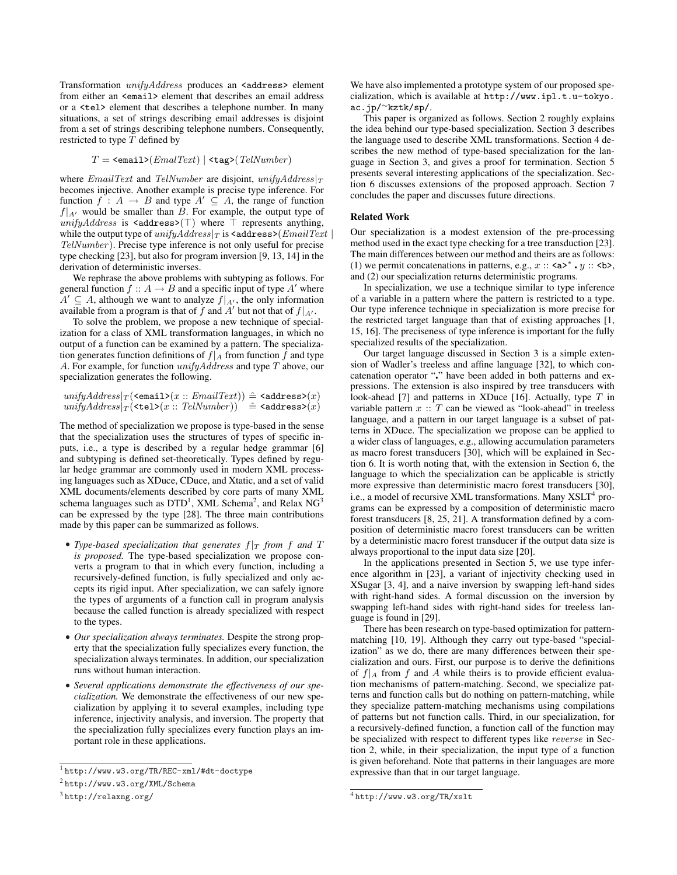Transformation *unifyAddress* produces an <address> element from either an <email> element that describes an email address or a <tel> element that describes a telephone number. In many situations, a set of strings describing email addresses is disjoint from a set of strings describing telephone numbers. Consequently, restricted to type *T* defined by

$$
T = \text{}(EmalText) | \text{}(TelNumber)
$$

where *EmailText* and *TelNumber* are disjoint, *unifyAddress|<sup>T</sup>* becomes injective. Another example is precise type inference. For function  $f : A \rightarrow B$  and type  $A' \subseteq A$ , the range of function  $f|_{A}$ <sup>*l*</sup> would be smaller than *B*. For example, the output type of *unifyAddress* is  $\leq$  address>( $\top$ ) where  $\top$  represents anything, while the output type of  $unifyAddress|_T$  is  $\leq$  address $\geq$  (*EmailText*) *TelNumber*). Precise type inference is not only useful for precise type checking [23], but also for program inversion [9, 13, 14] in the derivation of deterministic inverses.

We rephrase the above problems with subtyping as follows. For general function  $f :: A \rightarrow B$  and a specific input of type A' where *A*<sup> $\prime$ </sup> ⊆ *A*, although we want to analyze  $f|_{A}$ <sup> $\prime$ </sup>, the only information available from a program is that of  $f$  and  $A'$  but not that of  $f|_{A'}$ .

To solve the problem, we propose a new technique of specialization for a class of XML transformation languages, in which no output of a function can be examined by a pattern. The specialization generates function definitions of  $f|_A$  from function  $f$  and type *A*. For example, for function *unifyAddress* and type *T* above, our specialization generates the following.

 $unifyAddress|_T$  (<email> $(x::EmailText))$   $\hat{=}$  <address> $(x)$  $unifyAddress|_T$  (<tel> $(x::TelNumber)$ )  $\hat{=}$  <address> $(x)$ 

The method of specialization we propose is type-based in the sense that the specialization uses the structures of types of specific inputs, i.e., a type is described by a regular hedge grammar [6] and subtyping is defined set-theoretically. Types defined by regular hedge grammar are commonly used in modern XML processing languages such as XDuce, CDuce, and Xtatic, and a set of valid XML documents/elements described by core parts of many XML schema languages such as  $DTD<sup>1</sup>$ , XML Schema<sup>2</sup>, and Relax NG<sup>3</sup> can be expressed by the type [28]. The three main contributions made by this paper can be summarized as follows.

- *Type-based specialization that generates*  $f|_T$  *from f* and *T is proposed.* The type-based specialization we propose converts a program to that in which every function, including a recursively-defined function, is fully specialized and only accepts its rigid input. After specialization, we can safely ignore the types of arguments of a function call in program analysis because the called function is already specialized with respect to the types.
- *• Our specialization always terminates.* Despite the strong property that the specialization fully specializes every function, the specialization always terminates. In addition, our specialization runs without human interaction.
- *• Several applications demonstrate the effectiveness of our specialization.* We demonstrate the effectiveness of our new specialization by applying it to several examples, including type inference, injectivity analysis, and inversion. The property that the specialization fully specializes every function plays an important role in these applications.

We have also implemented a prototype system of our proposed specialization, which is available at http://www.ipl.t.u-tokyo. ac.jp/*<sup>∼</sup>*kztk/sp/.

This paper is organized as follows. Section 2 roughly explains the idea behind our type-based specialization. Section 3 describes the language used to describe XML transformations. Section 4 describes the new method of type-based specialization for the language in Section 3, and gives a proof for termination. Section 5 presents several interesting applications of the specialization. Section 6 discusses extensions of the proposed approach. Section 7 concludes the paper and discusses future directions.

# Related Work

Our specialization is a modest extension of the pre-processing method used in the exact type checking for a tree transduction [23]. The main differences between our method and theirs are as follows: (1) we permit concatenations in patterns, e.g.,  $x :: \langle a \rangle^* \cdot y :: \langle b \rangle$ , and (2) our specialization returns deterministic programs.

In specialization, we use a technique similar to type inference of a variable in a pattern where the pattern is restricted to a type. Our type inference technique in specialization is more precise for the restricted target language than that of existing approaches [1, 15, 16]. The preciseness of type inference is important for the fully specialized results of the specialization.

Our target language discussed in Section 3 is a simple extension of Wadler's treeless and affine language [32], to which concatenation operator "¦" have been added in both patterns and expressions. The extension is also inspired by tree transducers with look-ahead [7] and patterns in XDuce [16]. Actually, type *T* in variable pattern  $x :: T$  can be viewed as "look-ahead" in treeless language, and a pattern in our target language is a subset of patterns in XDuce. The specialization we propose can be applied to a wider class of languages, e.g., allowing accumulation parameters as macro forest transducers [30], which will be explained in Section 6. It is worth noting that, with the extension in Section 6, the language to which the specialization can be applicable is strictly more expressive than deterministic macro forest transducers [30], i.e., a model of recursive XML transformations. Many XSLT<sup>4</sup> programs can be expressed by a composition of deterministic macro forest transducers [8, 25, 21]. A transformation defined by a composition of deterministic macro forest transducers can be written by a deterministic macro forest transducer if the output data size is always proportional to the input data size [20].

In the applications presented in Section 5, we use type inference algorithm in [23], a variant of injectivity checking used in XSugar [3, 4], and a naive inversion by swapping left-hand sides with right-hand sides. A formal discussion on the inversion by swapping left-hand sides with right-hand sides for treeless language is found in [29].

There has been research on type-based optimization for patternmatching [10, 19]. Although they carry out type-based "specialization" as we do, there are many differences between their specialization and ours. First, our purpose is to derive the definitions of  $f|_A$  from  $f$  and  $A$  while theirs is to provide efficient evaluation mechanisms of pattern-matching. Second, we specialize patterns and function calls but do nothing on pattern-matching, while they specialize pattern-matching mechanisms using compilations of patterns but not function calls. Third, in our specialization, for a recursively-defined function, a function call of the function may be specialized with respect to different types like *reverse* in Section 2, while, in their specialization, the input type of a function is given beforehand. Note that patterns in their languages are more expressive than that in our target language.

<sup>1</sup> http://www.w3.org/TR/REC-xml/#dt-doctype

<sup>2</sup> http://www.w3.org/XML/Schema

<sup>3</sup> http://relaxng.org/

<sup>4</sup> http://www.w3.org/TR/xslt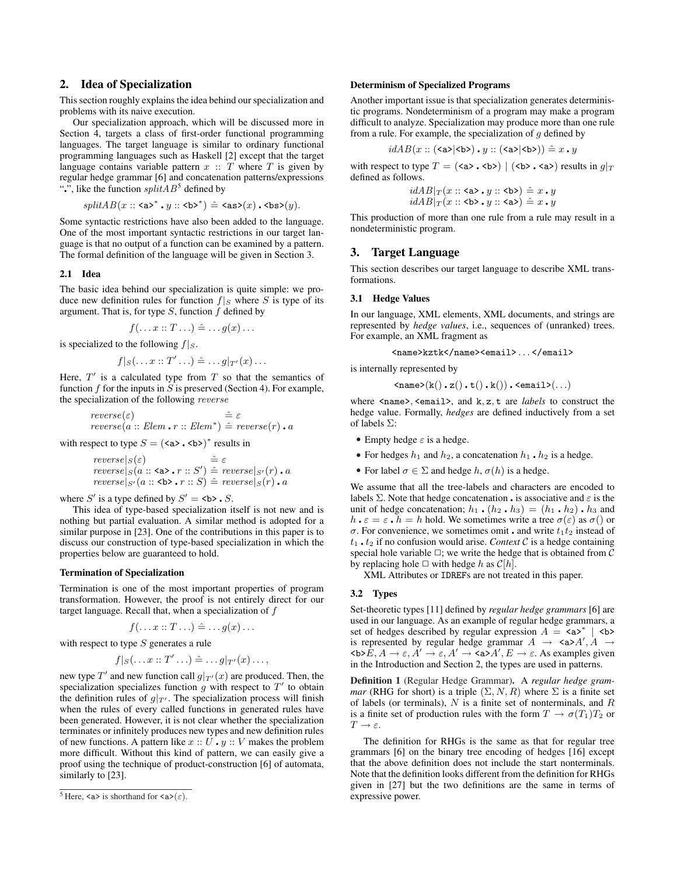# 2. Idea of Specialization

This section roughly explains the idea behind our specialization and problems with its naive execution.

Our specialization approach, which will be discussed more in Section 4, targets a class of first-order functional programming languages. The target language is similar to ordinary functional programming languages such as Haskell [2] except that the target language contains variable pattern  $x : T$  where  $T$  is given by regular hedge grammar [6] and concatenation patterns/expressions ".", like the function  $splitAB^5$  defined by

$$
\mathit{splitAB}(x::\mathsf{^{\*}}\centerdot y::\mathsf{^{\*}}\)\mathrel{\hat{=}} \mathsf{}\(x\)\centerdot \mathsf{}\(y\).
$$

Some syntactic restrictions have also been added to the language. One of the most important syntactic restrictions in our target language is that no output of a function can be examined by a pattern. The formal definition of the language will be given in Section 3.

## 2.1 Idea

The basic idea behind our specialization is quite simple: we produce new definition rules for function  $f|_S$  where  $S$  is type of its argument. That is, for type *S*, function *f* defined by

$$
f(\ldots x::T \ldots) \hat{=} \ldots g(x) \ldots
$$

is specialized to the following *f|S*.

$$
f|_S(\ldots x::T'\ldots)\hat{=}\ldots g|_{T'}(x)\ldots
$$

Here,  $T'$  is a calculated type from  $T$  so that the semantics of function  $f$  for the inputs in  $\hat{S}$  is preserved (Section 4). For example, the specialization of the following *reverse*

$$
reverse(\varepsilon) \qquad \hat{=} \varepsilon
$$
  
reverse(a :: *Elem* • *r* :: *Elem*\*)  $\hat{=} reverse(r) \cdot a$ 

with respect to type  $S = (\langle a \rangle \cdot \langle b \rangle)^*$  results in

$$
\begin{array}{ll}\n reverse|s(\varepsilon) & \hat{=} \varepsilon \\
 reverse|s(a::\langle a\rangle \cdot r::S') & \hat{=} \; reverse|s'(r) \cdot a \\
 reverse|s'(a::\langle b\rangle \cdot r::S) & \hat{=} \; reverse|s(r) \cdot a\n \end{array}
$$

where *S'* is a type defined by *S'* = **.** *S***.** 

This idea of type-based specialization itself is not new and is nothing but partial evaluation. A similar method is adopted for a similar purpose in [23]. One of the contributions in this paper is to discuss our construction of type-based specialization in which the properties below are guaranteed to hold.

### Termination of Specialization

Termination is one of the most important properties of program transformation. However, the proof is not entirely direct for our target language. Recall that, when a specialization of *f*

$$
f(\ldots x::T \ldots) \hat{=} \ldots g(x) \ldots
$$

with respect to type *S* generates a rule

$$
f|_S(\ldots x::T'\ldots)\stackrel{\sim}{=}\ldots g|_{T'}(x)\ldots,
$$

new type  $T'$  and new function call  $g|_{T'}(x)$  are produced. Then, the specialization specializes function  $g$  with respect to  $T'$  to obtain the definition rules of  $g|_{T'}$ . The specialization process will finish when the rules of every called functions in generated rules have been generated. However, it is not clear whether the specialization terminates or infinitely produces new types and new definition rules of new functions. A pattern like  $x :: U \cdot y :: V$  makes the problem more difficult. Without this kind of pattern, we can easily give a proof using the technique of product-construction [6] of automata, similarly to [23].

## Determinism of Specialized Programs

Another important issue is that specialization generates deterministic programs. Nondeterminism of a program may make a program difficult to analyze. Specialization may produce more than one rule from a rule. For example, the specialization of *g* defined by

$$
idAB(x::(\texttt{}{|\texttt{}>}\) \centerdot y::\(\texttt{}{|\texttt{}>}\\) \\) \mathrel{\hat=} x \centerdot y
$$

with respect to type  $T = (\langle a \rangle, \langle b \rangle) | (\langle b \rangle, \langle a \rangle)$  results in  $q|_T$ defined as follows.

$$
idAB|_T(x::\langle a\rangle \cdot y::\langle b\rangle) \hat{=} x \cdot y
$$
  

$$
idAB|_T(x::\langle b\rangle \cdot y::\langle a\rangle) \hat{=} x \cdot y
$$

This production of more than one rule from a rule may result in a nondeterministic program.

# 3. Target Language

This section describes our target language to describe XML transformations.

## 3.1 Hedge Values

In our language, XML elements, XML documents, and strings are represented by *hedge values*, i.e., sequences of (unranked) trees. For example, an XML fragment as

<name>kztk</name><email> *. . .* </email>

is internally represented by

$$
\verb||(k() \cdot z() \cdot t() \cdot k()) \cdot \verb||(\dots)
$$

where <name>*,* <email>, and k*,* z*,* t are *labels* to construct the hedge value. Formally, *hedges* are defined inductively from a set of labels Σ:

- *•* Empty hedge *ε* is a hedge.
- For hedges  $h_1$  and  $h_2$ , a concatenation  $h_1 \cdot h_2$  is a hedge.
- For label  $\sigma \in \Sigma$  and hedge *h*,  $\sigma(h)$  is a hedge.

We assume that all the tree-labels and characters are encoded to labels  $\Sigma$ . Note that hedge concatenation **.** is associative and  $\varepsilon$  is the unit of hedge concatenation;  $h_1 \cdot (h_2 \cdot h_3) = (h_1 \cdot h_2) \cdot h_3$  and *h*  $\epsilon = \epsilon \cdot h = h$  hold. We sometimes write a tree  $\sigma(\epsilon)$  as  $\sigma()$  or *σ*. For convenience, we sometimes omit **a** and write  $t_1 t_2$  instead of  $t_1$   $\cdot$   $t_2$  if no confusion would arise. *Context*  $C$  is a hedge containing special hole variable  $\Box$ ; we write the hedge that is obtained from  $\mathcal C$ by replacing hole  $\Box$  with hedge *h* as  $C[h]$ .

XML Attributes or IDREFs are not treated in this paper.

## 3.2 Types

Set-theoretic types [11] defined by *regular hedge grammars* [6] are used in our language. As an example of regular hedge grammars, a set of hedges described by regular expression  $A = \langle a \rangle^*$  |  $\langle b \rangle$ is represented by regular hedge grammar  $A \rightarrow \langle a \rangle A', A \rightarrow \langle a \rangle A'$  $\langle \mathbf{b} \rangle \tilde{E}, A \to \varepsilon, A' \to \varepsilon, A' \to \langle \mathbf{a} \rangle A', E \to \varepsilon$ . As examples given in the Introduction and Section 2, the types are used in patterns.

Definition 1 (Regular Hedge Grammar). A *regular hedge grammar* (RHG for short) is a triple  $(\Sigma, N, R)$  where  $\Sigma$  is a finite set of labels (or terminals), *N* is a finite set of nonterminals, and *R* is a finite set of production rules with the form  $T \to \sigma(T_1)T_2$  or  $T \rightarrow \varepsilon$ .

The definition for RHGs is the same as that for regular tree grammars [6] on the binary tree encoding of hedges [16] except that the above definition does not include the start nonterminals. Note that the definition looks different from the definition for RHGs given in [27] but the two definitions are the same in terms of expressive power.

<sup>&</sup>lt;sup>5</sup> Here,  $\langle a \rangle$  is shorthand for  $\langle a \rangle (\varepsilon)$ .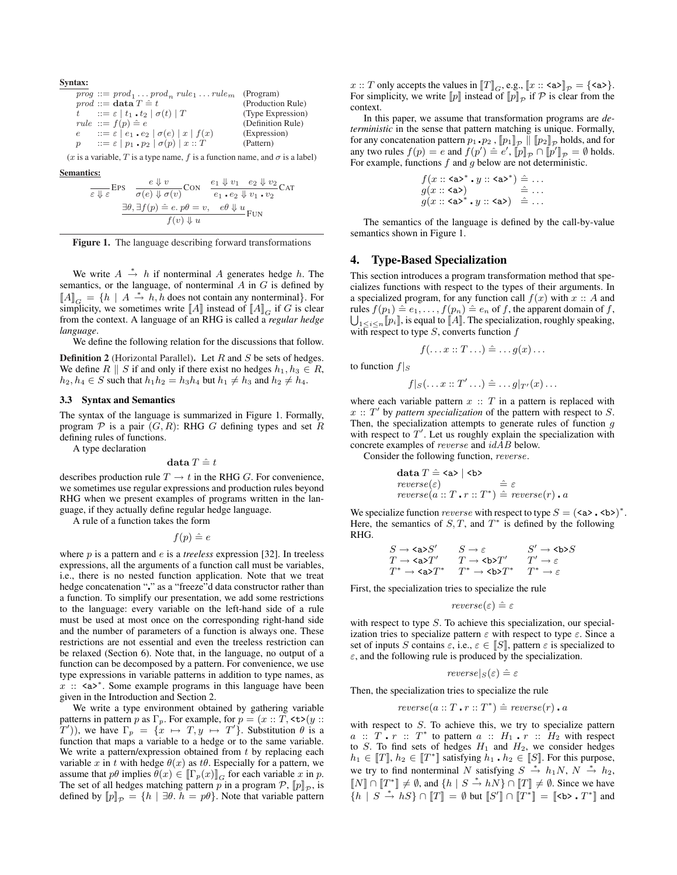Syntax:  $\text{prog} ::= \text{prod}_1 \dots \text{prod}_n \text{ rule}_1 \dots \text{ rule}_m$  (Program)  $\begin{array}{ll}\n\text{prod} \text{ := } \text{data } T \triangleq t \\
\text{ = } \varepsilon \mid t_1 \cdot t_2 \mid \sigma(t) \mid T\n\end{array}$ (Production Rule) *t*  $:= \varepsilon \mid t_1 \cdot t_2 \mid \sigma(t) \mid T$  $rule ::= f(p) \triangleq e$  (Definition Rule) *e*  $:= \varepsilon |e_1 \cdot e_2 | \sigma(e) | x | f(x)$  (Expression) *p*  $:= \varepsilon | p_1 \cdot p_2 | \sigma(p) | x :: T$  (Pattern)

(*x* is a variable, *T* is a type name, *f* is a function name, and  $\sigma$  is a label)

Semantics:

$$
\frac{e \Downarrow v}{\varepsilon \Downarrow \varepsilon} \text{EPS} \quad \frac{e \Downarrow v}{\sigma(e) \Downarrow \sigma(v)} \text{CON} \quad \frac{e_1 \Downarrow v_1}{e_1 \cdot e_2 \Downarrow v_1 \cdot v_2} \text{CAT}
$$
\n
$$
\frac{\exists \theta, \exists f(p) \triangleq e, p\theta = v, \quad e\theta \Downarrow u}{f(v) \Downarrow u} \text{Fun}
$$



We write  $A \stackrel{*}{\rightarrow} h$  if nonterminal  $A$  generates hedge  $h$ . The semantics, or the language, of nonterminal *A* in *G* is defined by  $[A]_G = \{h \mid A \stackrel{*}{\rightarrow} h, h \text{ does not contain any nonterminal}\}.$  For simplicity, we sometimes write  $\llbracket A \rrbracket$  instead of  $\llbracket A \rrbracket_G$  if *G* is clear from the context. A language of an RHG is called a *regular hedge language*.

We define the following relation for the discussions that follow.

Definition 2 (Horizontal Parallel). Let *R* and *S* be sets of hedges. We define  $R \parallel S$  if and only if there exist no hedges  $h_1, h_3 \in R$ , *h*<sub>2</sub>*, h*<sub>4</sub> ∈ *S* such that  $h_1h_2 = h_3h_4$  but  $h_1 \neq h_3$  and  $h_2 \neq h_4$ .

## 3.3 Syntax and Semantics

The syntax of the language is summarized in Figure 1. Formally, program  $P$  is a pair  $(G, R)$ : RHG *G* defining types and set *R* defining rules of functions.

A type declaration

$$
\textbf{data} \ T \mathrel{\hat=} t
$$

describes production rule  $T \to t$  in the RHG *G*. For convenience, we sometimes use regular expressions and production rules beyond RHG when we present examples of programs written in the language, if they actually define regular hedge language.

A rule of a function takes the form

 $f(p) \triangleq e$ 

where *p* is a pattern and *e* is a *treeless* expression [32]. In treeless expressions, all the arguments of a function call must be variables, i.e., there is no nested function application. Note that we treat hedge concatenation "." as a "freeze"d data constructor rather than a function. To simplify our presentation, we add some restrictions to the language: every variable on the left-hand side of a rule must be used at most once on the corresponding right-hand side and the number of parameters of a function is always one. These restrictions are not essential and even the treeless restriction can be relaxed (Section 6). Note that, in the language, no output of a function can be decomposed by a pattern. For convenience, we use type expressions in variable patterns in addition to type names, as *x* :: <a><sup>\*</sup>. Some example programs in this language have been given in the Introduction and Section 2.

We write a type environment obtained by gathering variable patterns in pattern *p* as  $\Gamma_p$ . For example, for  $p = (x :: T, \text{lt} \text{t} > (y ::$  $(T')$ ), we have  $\Gamma_p = \{x \mapsto T, y \mapsto T'\}$ . Substitution  $\theta$  is a function that maps a variable to a hedge or to the same variable. We write a pattern/expression obtained from *t* by replacing each variable *x* in *t* with hedge  $\theta(x)$  as  $t\theta$ . Especially for a pattern, we assume that  $p\theta$  implies  $\theta(x) \in [\![\Gamma_p(x)]\!]_G$  for each variable *x* in *p*. The set of all hedges matching pattern *p* in a program  $\mathcal{P}, [p]_{\mathcal{P}}$ , is defined by  $[\![p]\!]_p = \{h \mid \exists \theta, h = p\theta\}$ . Note that variable pattern *x* :: *T* only accepts the values in  $[[T]]_G$ , e.g.,  $[[x :: \langle a \rangle]_P = {\langle \langle a \rangle \}$ . For simplicity, we write  $[\![p]\!]$  instead of  $[\![p]\!]_{\mathcal{P}}$  if  $\mathcal{P}$  is clear from the context.

In this paper, we assume that transformation programs are *deterministic* in the sense that pattern matching is unique. Formally, for any concatenation pattern  $p_1 \cdot p_2$  ,  $[\![p_1]\!]_p \parallel [\![p_2]\!]_p$  holds, and for any two rules  $f(p) = e$  and  $f(p') \triangleq e'$ ,  $[\![p]\!]_p \cap [\![p']\!]_p = \emptyset$  holds. For example, functions *f* and *g* below are not deterministic.

$$
\begin{array}{l} f(x::\mathsf{a}\mathsf{a}\mathsf{a}^* \centerdot y::\mathsf{a}\mathsf{a}\mathsf{a}^*) \mathrel{\hat=} \dots \\ g(x::\mathsf{a}\mathsf{a}\mathsf{a}) \\ g(x::\mathsf{a}\mathsf{a}\mathsf{a}^* \centerdot y::\mathsf{a}\mathsf{a}\mathsf{a}) \mathrel{\hat=} \dots \end{array}
$$

The semantics of the language is defined by the call-by-value semantics shown in Figure 1.

## 4. Type-Based Specialization

This section introduces a program transformation method that specializes functions with respect to the types of their arguments. In a specialized program, for any function call  $f(x)$  with  $x :: A$  and rules  $f(p_1) \triangleq e_1, \ldots, f(p_n) \triangleq e_n$  of *f*, the apparent domain of *f*,<br>  $\Box$   $\Box$  is equal to  $\Box$  The specialization roughly speaking 1*≤i≤n* [[*pi*]], is equal to [[*A*]]. The specialization, roughly speaking, with respect to type *S*, converts function *f*

$$
f(\ldots x :: T \ldots) \triangleq \ldots g(x) \ldots
$$

to function  $f|_S$ 

$$
f|_{S}(\ldots x::T'\ldots) \hat{=} \ldots g|_{T'}(x) \ldots
$$

where each variable pattern  $x :: T$  in a pattern is replaced with  $x$  ::  $T'$  by *pattern specialization* of the pattern with respect to  $S$ . Then, the specialization attempts to generate rules of function *g* with respect to  $T'$ . Let us roughly explain the specialization with concrete examples of *reverse* and *idAB* below.

Consider the following function, *reverse*.

$$
\begin{array}{l}\n\textbf{data } T \hat{=} \langle \textbf{a} \rangle \mid \langle \textbf{b} \rangle \\
\textit{reverse}(\varepsilon) \\
\textit{reverse}(a::T \cdot r::T^*) \hat{=} \textit{reverse}(r) \cdot a\n\end{array}
$$

We specialize function *reverse* with respect to type  $S = (\langle a \rangle \cdot \langle b \rangle)^*$ . Here, the semantics of  $S, T$ , and  $T^*$  is defined by the following RHG.

$$
\begin{array}{ccc} S \to \texttt{}\texttt{>}S' & S \to \varepsilon & S' \to \texttt{}\texttt{>}S \\ T \to \texttt{}\texttt{>}T' & T \to \texttt{b>}\texttt{}T' & T' \to \varepsilon \\ T^\\* \to \texttt{}\texttt{>}T^\\\* & T^\\\* \to \texttt{b>}\texttt{}T^\\\* & T^\\\* \to \varepsilon \end{array}
$$

First, the specialization tries to specialize the rule

$$
reverse(\varepsilon) \mathrel{\hat=} \varepsilon
$$

with respect to type *S*. To achieve this specialization, our specialization tries to specialize pattern  $\varepsilon$  with respect to type  $\varepsilon$ . Since a set of inputs *S* contains  $\varepsilon$ , i.e.,  $\varepsilon \in [S]$ , pattern  $\varepsilon$  is specialized to *ε*, and the following rule is produced by the specialization.

$$
reverse|_S(\varepsilon) \mathrel{\hat=} \varepsilon
$$

Then, the specialization tries to specialize the rule

$$
reverse(a::T \cdot r::T^*) \hat{=} \text{ reverse}(r) \cdot a
$$

with respect to *S*. To achieve this, we try to specialize pattern  $a :: T \cdot r :: T^*$  to pattern  $a :: H_1 \cdot r :: H_2$  with respect to *S*. To find sets of hedges *H*<sup>1</sup> and *H*2, we consider hedges  $h_1 \in [T]$ ,  $h_2 \in [T^*]$  satisfying  $h_1 \cdot h_2 \in [S]$ . For this purpose, we try to find nonterminal *N* satisfying  $S \stackrel{*}{\to} h_1N$ ,  $N \stackrel{*}{\to} h_2$ ,  $[[N] ∩ [[T^*]] \neq \emptyset$ , and  $\{h \mid S \stackrel{*}{\rightarrow} hN\} ∩ [[T]] \neq \emptyset$ . Since we have *{h*  $|S \stackrel{*}{\to} hS$ } ∩  $[[T]] = ∅$  but  $[[S']] ∩ [[T^*]] = [[**^**]. T^*]]$  and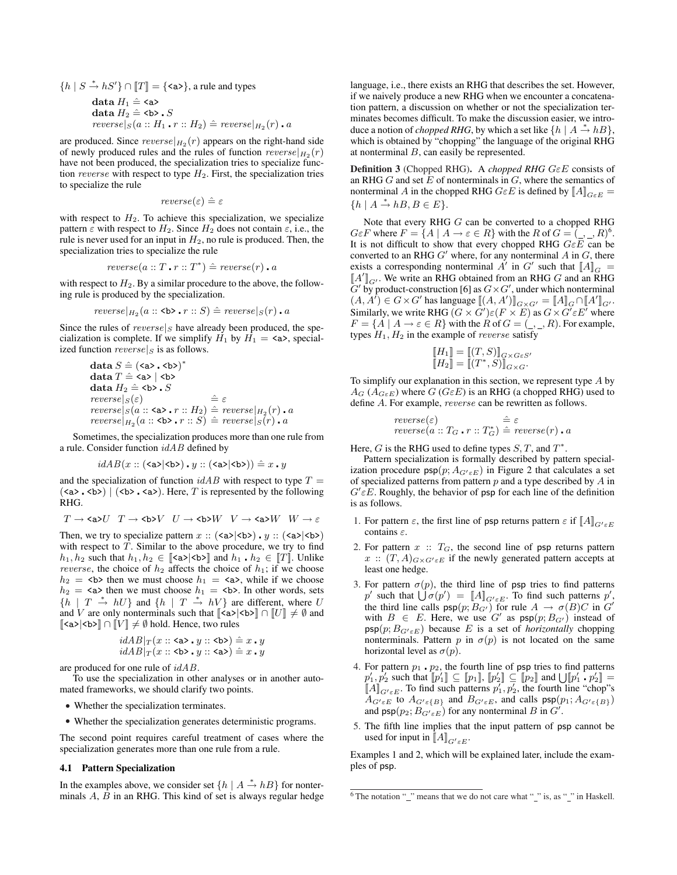${h \mid S \stackrel{*}{\rightarrow} hS' } \cap [T] = { \le a \ge }$ , a rule and types data $H_1 \mathrel{\hat=} \texttt{}$ data  $H_2 \triangleq \texttt{**>**}$ . *S* 

 $reverse|_{S}(a:: H_1 \cdot r:: H_2) \triangleq reverse|_{H_2}(r) \cdot a$ 

are produced. Since  $reverse|_{H_2}(r)$  appears on the right-hand side of newly produced rules and the rules of function  $reverse|_{H_2}(r)$ have not been produced, the specialization tries to specialize function *reverse* with respect to type  $H_2$ . First, the specialization tries to specialize the rule

$$
reverse(\varepsilon) \triangleq \varepsilon
$$

with respect to  $H_2$ . To achieve this specialization, we specialize pattern  $\varepsilon$  with respect to  $H_2$ . Since  $H_2$  does not contain  $\varepsilon$ , i.e., the rule is never used for an input in *H*2, no rule is produced. Then, the specialization tries to specialize the rule

$$
reverse(a::T \cdot r::T^*) \hat{=} \text{ } reverse(r) \cdot a
$$

with respect to  $H_2$ . By a similar procedure to the above, the following rule is produced by the specialization.

$$
\mathit{reverse}|_{H_2}(a::\texttt{>.r::}S) \hat{=} \mathit{reverse}|_S(r)\centerdot a
$$

Since the rules of *reverse|<sup>S</sup>* have already been produced, the specialization is complete. If we simplify  $H_1$  by  $H_1 = \langle a \rangle$ , specialized function *reverse|<sup>S</sup>* is as follows.

$$
\begin{array}{l} \textbf{data } S \mathrel{\hat=} (\texttt{} \cdot \texttt{b}\)^\* \\ \textbf{data } T \mathrel{\hat=} \texttt{} | \texttt{b} \\ \textbf{data } H\\_2 \mathrel{\hat=} \texttt{b} . S \\ \textit{reverse}|\\_S\\(\varepsilon\\) \qquad \qquad \hat{=} \varepsilon \\ \textit{reverse}|\\_S\\(a:: \texttt{} \cdot r:: H\\\_2\\\) \mathrel{\hat=} \textit{reverse}|\\\_{H\\\_2}\\\(r\\\) \cdot a \\ \textit{reverse}|\\\_{H\\\_2}\\\(a:: \texttt{b \cdot r:: S\\\) \mathrel{\hat=} \textit{reverse}|\\\_S\\\(r\\\) \cdot a \end{array}
$$

Sometimes, the specialization produces more than one rule from a rule. Consider function *idAB* defined by

$$
idAB(x::(\text{>|), y::(\text{|)) \hat{=} x \cdot y
$$

and the specialization of function  $idAB$  with respect to type  $T =$  $(\langle a \rangle, \langle b \rangle)$   $(\langle b \rangle, \langle a \rangle)$ . Here, *T* is represented by the following RHG.

$$
T \rightarrow \text{Ca}\text{>U} \quad T \rightarrow \text{Ab}\text{>}V \quad U \rightarrow \text{cb}\text{>}W \quad V \rightarrow \text{Ca}\text{>}W \quad W \rightarrow \varepsilon
$$

Then, we try to specialize pattern  $x$  ::  $(\langle a \rangle | \langle b \rangle) \cdot y$  ::  $(\langle a \rangle | \langle b \rangle)$ with respect to *T*. Similar to the above procedure, we try to find  $h_1, h_2$  such that  $h_1, h_2 \in [\text{Ca} > | \text{Ab} > \text{]}$  and  $h_1 \cdot h_2 \in [\text{I} \cdot \text{I} \cdot \text{In} \text{B} \cdot \text{B} \cdot \text{B} \cdot \text{B} \cdot \text{B} \cdot \text{B} \cdot \text{C} \cdot \text{C} \cdot \text{C} \cdot \text{C} \cdot \text{C} \cdot \text{C} \cdot \text{C} \cdot \text{C} \cdot \text{C} \cdot \text{C} \cdot \text{C} \cdot \text{D} \cdot \text{D} \cdot \text{D}$ *reverse*, the choice of  $h_2$  affects the choice of  $h_1$ ; if we choose  $h_2$  =  $\leq b$  then we must choose  $h_1$  =  $\leq a$ , while if we choose  $h_2 = \langle a \rangle$  then we must choose  $h_1 = \langle b \rangle$ . In other words, sets  ${h \mid T \stackrel{*}{\to} hU}$  and  ${h \mid T \stackrel{*}{\to} hV}$  are different, where *U* and *V* are only nonterminals such that  $\llbracket \langle a \rangle \langle b \rangle \rrbracket \cap \llbracket U \rrbracket \neq \emptyset$  and [[<a>*|*<b>]] *∩* [[*V* ]] *6*= *∅* hold. Hence, two rules

$$
\begin{array}{c} idAB|_T(x::\texttt{&}&&&\texttt{&}&\texttt{&}&\texttt{&}&\texttt{&}&\texttt{&}&\texttt{&}&\texttt{&}\\ idAB|_T(x::\texttt{&}&&&\texttt{&}&\texttt{&}&\texttt{&}&\texttt{&}&\texttt{&}&\texttt{&}&\texttt{&}&\texttt{&}&\texttt{&}&\texttt{&}\texttt{&}\end{array}
$$

are produced for one rule of *idAB*.

To use the specialization in other analyses or in another automated frameworks, we should clarify two points.

- *•* Whether the specialization terminates.
- *•* Whether the specialization generates deterministic programs.

The second point requires careful treatment of cases where the specialization generates more than one rule from a rule.

#### 4.1 Pattern Specialization

In the examples above, we consider set  $\{h \mid A \stackrel{*}{\to} hB\}$  for nonterminals *A*, *B* in an RHG. This kind of set is always regular hedge language, i.e., there exists an RHG that describes the set. However, if we naively produce a new RHG when we encounter a concatenation pattern, a discussion on whether or not the specialization terminates becomes difficult. To make the discussion easier, we introduce a notion of *chopped RHG*, by which a set like  $\{h \mid A \stackrel{*}{\rightarrow} hB\}$ , which is obtained by "chopping" the language of the original RHG at nonterminal *B*, can easily be represented.

Definition 3 (Chopped RHG). A *chopped RHG GεE* consists of an RHG *G* and set *E* of nonterminals in *G*, where the semantics of nonterminal *A* in the chopped RHG  $G \in E$  is defined by  $\llbracket A \rrbracket_{G \in E}$  = *{h | A <sup>∗</sup>→ hB, B ∈ E}*.

Note that every RHG *G* can be converted to a chopped RHG *GεF* where  $F = \{A \mid A \rightarrow \varepsilon \in R\}$  with the *R* of  $G = \binom{\varepsilon}{a}$ ,  $R$ <sup>6</sup>. It is not difficult to show that every chopped RHG *GεE* can be converted to an RHG  $G'$  where, for any nonterminal  $A$  in  $G$ , there exists a corresponding nonterminal  $\overline{A}'$  in  $G'$  such that  $\llbracket A \rrbracket_G =$  $[[A']]_{G'}$ . We write an RHG obtained from an RHG *G* and an RHG  $G'$  by product-construction [6] as  $G \times G'$ , under which nonterminal  $(A, \tilde{A}') \in G \times G'$  has language  $[\![ (A, A')] \!]_{G \times G'} = [\![ A ]\!]_{G} \cap [\![ A' ]\!]_{G'}$ . Similarly, we write RHG  $(G \times G')\epsilon(F \times E)$  as  $G \times G'\epsilon E'$  where  $F = \{A \mid A \rightarrow \varepsilon \in R\}$  with the *R* of  $G = (\_, \_, R)$ . For example, types  $H_1, H_2$  in the example of *reverse* satisfy

$$
\begin{aligned} [H_1] &= [(T, S)]_{G \times G \in S'} \\ [H_2] &= [(T^*, S)]_{G \times G}. \end{aligned}
$$

To simplify our explanation in this section, we represent type *A* by  $A_G$  ( $A_{G\epsilon E}$ ) where *G* ( $G\epsilon E$ ) is an RHG (a chopped RHG) used to define *A*. For example, *reverse* can be rewritten as follows.

$$
reverse(\varepsilon) \quad \hat{=} \varepsilon
$$
  
reverse(a :: T<sub>G</sub> . r :: T<sub>G</sub><sup>\*</sup>)  $\hat{=} reverse(r)$ . a

Here,  $G$  is the RHG used to define types  $S, T$ , and  $T^*$ .

Pattern specialization is formally described by pattern specialization procedure  $psp(p; A_{G<sup>'</sup> \varepsilon E})$  in Figure 2 that calculates a set of specialized patterns from pattern *p* and a type described by *A* in  $G' \varepsilon E$ . Roughly, the behavior of psp for each line of the definition is as follows.

- 1. For pattern  $\varepsilon$ , the first line of psp returns pattern  $\varepsilon$  if  $\llbracket A \rrbracket_{G' \in E}$ contains *ε*.
- 2. For pattern  $x$  ::  $T_G$ , the second line of psp returns pattern  $x$  ::  $(T, A)_{G \times G' \in E}$  if the newly generated pattern accepts at least one hedge.
- 3. For pattern  $\sigma(p)$ , the third line of psp tries to find patterns *p b*(*p*) =  $\left[ A \right]_{G^{\prime} \in E}$ . To find such patterns *p*<sup>'</sup>, the third line calls  $\textsf{psp}(p; B_{G'})$  for rule  $A \rightarrow \sigma(B)C$  in  $G'$ with  $B \in E$ . Here, we use  $G'$  as  $psp(p; B_{G'})$  instead of  $psp(p; B_{G' \epsilon E})$  because *E* is a set of *horizontally* chopping nonterminals. Pattern  $p$  in  $\sigma(p)$  is not located on the same horizontal level as  $\sigma(p)$ .
- 4. For pattern  $p_1 \cdot p_2$ , the fourth line of psp tries to find patterns  $p'_1, p'_2$  such that  $[p'_1] \subseteq [p_1]$ ,  $[p'_2] \subseteq [p_2]$  and  $\bigcup [p'_1, p'_2] =$  $[[A]]_{G' \in E}$ . To find such patterns  $p'_1, p'_2$ , the fourth line "chop"s  $A_{G' \in E}$  to  $A_{G' \in \{B\}}$  and  $B_{G' \in E}$ , and calls  $\mathsf{psp}(p_1; A_{G' \in \{B\}})$ and  $\textsf{psp}(p_2; B_{G' \varepsilon})$  for any nonterminal *B* in  $G'$ .
- 5. The fifth line implies that the input pattern of psp cannot be used for input in  $\llbracket A \rrbracket_{G/\varepsilon E}$ .

Examples 1 and 2, which will be explained later, include the examples of psp.

 $6$  The notation " $\frac{1}{2}$ " means that we do not care what " $\frac{1}{2}$ " is, as " $\frac{1}{2}$ " in Haskell.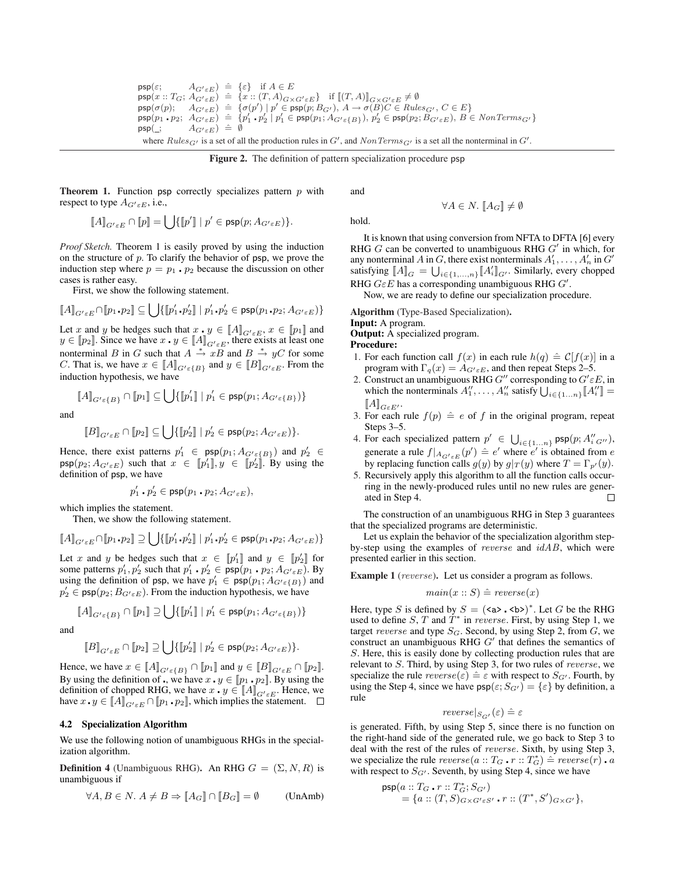$\mathsf{psp}(\varepsilon; \qquad A_{G' \varepsilon E}) \triangleq {\varepsilon} \text{ if } A \in E$  $\begin{array}{rcl} \mathsf{psp}(x::T_G;A_{G' \in E}) & \triangleq \{x::(T,A)_{G \times G' \in E}\} & \text{if } [[T,A)]_{G \times G' \in E} \neq \emptyset \ \mathsf{psp}(\sigma(p); \quad A_{G' \in E}) & \triangleq \{\sigma(p') \mid p' \in \mathsf{psp}(p;B_{G'}), A \rightarrow \sigma(B)C \in Rule\} \end{array}$  $\mathsf{psp}(\sigma(p); \quad A_{G'\varepsilon E}) \ \doteq \ \{\sigma(p') \mid p' \in \mathsf{psp}(p; B_{G'}),\, A \to \sigma(B)C \in Rules_{G'},\, C \in E\}$  $\mathsf{psp}(p_1\centerdot p_2;\ A_{G'\varepsilon E})\ \doteq\ \{p'_1\centerdot p'_2\ |\ p'_1\in\mathsf{psp}(p_1;A_{G'\varepsilon\{B\}}),\ p'_2\in\mathsf{psp}(p_2;\bar{B}_{G'\varepsilon E}),\ B\in\mathit{NonTerms}_{G'}\}$  $\mathsf{psp}(\_; \qquad A_{G' \varepsilon E}) \triangleq \emptyset$ where  $Rules_{G'}$  is a set of all the production rules in  $G'$ , and  $NonTerms_{G'}$  is a set all the nonterminal in  $G'$ .

Figure 2. The definition of pattern specialization procedure psp

Theorem 1. Function psp correctly specializes pattern *p* with respect to type  $A_{G/\varepsilon E}$ , i.e.,

$$
\llbracket A \rrbracket_{G' \varepsilon E} \cap \llbracket p \rrbracket = \bigcup \{ \llbracket p' \rrbracket ~|~ p' \in \mathsf{psp}(p; A_{G' \varepsilon E}) \}.
$$

*Proof Sketch.* Theorem 1 is easily proved by using the induction on the structure of *p*. To clarify the behavior of psp, we prove the induction step where  $p = p_1 \cdot p_2$  because the discussion on other cases is rather easy.

First, we show the following statement.

$$
\llbracket A \rrbracket_{G' \in E} \cap \llbracket p_1. p_2 \rrbracket \subseteq \bigcup \{ \llbracket p_1' . p_2' \rrbracket \mid p_1' . p_2' \in \mathsf{psp}(p_1. p_2; A_{G' \in E}) \}
$$

Let *x* and *y* be hedges such that  $x \cdot y \in [A]_{G/\epsilon E}$ ,  $x \in [p_1]$  and *y* ∈ [[*p*<sub>2</sub>]. Since we have *x* ⋅ *y* ∈ [[*A*]]<sub>*G*<sup>*i*</sup>*εE*, there exists at least one</sub> nonterminal *B* in *G* such that  $A \stackrel{*}{\to} xB$  and  $B \stackrel{*}{\to} yC$  for some *C*. That is, we have  $x \in [A]$ <sub>*G*<sup>*i*</sup>*ε*{*B*}</sub> and  $y \in [B]$ <sub>*G*<sup>*i*</sup>*εE*</sub>. From the induction hypothesis, we have

 $\llbracket A \rrbracket_{G' \varepsilon \{B\}} \cap \llbracket p_1 \rrbracket \subseteq \bigcup \{ \llbracket p'_1 \rrbracket ~|~ p'_1 \in \mathsf{psp}(p_1; A_{G' \varepsilon \{B\}}) \}$ 

and

$$
[\![B]\!]_{G^\prime \varepsilon E} \cap [\![p_2]\!] \subseteq \bigcup \{ [\![p_2^\prime]\!] \mid p_2^\prime \in \mathsf{psp}(p_2; A_{G^\prime \varepsilon E}) \}.
$$

Hence, there exist patterns  $p'_1 \in \textsf{psp}(p_1; A_{G' \in \{B\}})$  and  $p'_2 \in$  $psp(p_2; A_{G' \varepsilon E})$  such that  $x \in [p'_1], y \in [p'_2]$ . By using the definition of psp, we have

$$
p_1'\centerdot p_2'\in {\sf psp}(p_1\centerdot p_2;A_{G'\varepsilon E}),
$$

which implies the statement.

Then, we show the following statement.

$$
\llbracket A \rrbracket_{G' \in E} \cap \llbracket p_1 \boldsymbol{.} p_2 \rrbracket \supseteq \bigcup \{ \llbracket p_1' \boldsymbol{.} p_2' \rrbracket \mid p_1' \boldsymbol{.} p_2' \in \mathsf{psp}(p_1 \boldsymbol{.} p_2; A_{G' \in E}) \}
$$

Let *x* and *y* be hedges such that  $x \in [p'_1]$  and  $y \in [p'_2]$  for some patterns  $p'_1, p'_2$  such that  $p'_1 \cdot p'_2 \in \overline{\text{psp}(p_1 \cdot p_2; A_{G' \varepsilon E})}$ . By using the definition of psp, we have  $p'_1 \in \text{psp}(p_1; A_{G' \in \{B\}})$  and  $p'_2 \in \textsf{psp}(p_2; B_{G' \varepsilon E})$ . From the induction hypothesis, we have

$$
\llbracket A \rrbracket_{G' \varepsilon \{B\}} \cap \llbracket p_1 \rrbracket \supseteq \bigcup \{ \llbracket p_1' \rrbracket \mid p_1' \in \mathsf{psp}(p_1; A_{G' \varepsilon \{B\}}) \}
$$

and

$$
[\![B]\!]_{G^\prime \varepsilon E} \cap [\![p_2]\!] \supseteq \bigcup \{ [\![p_2^\prime]\!] \mid p_2^\prime \in \mathsf{psp}(p_2; A_{G^\prime \varepsilon E}) \}.
$$

Hence, we have  $x \in [A]_{G' \in \{B\}} \cap [p_1]$  and  $y \in [B]_{G' \in E} \cap [p_2]$ . By using the definition of  $\cdot$ , we have  $x \cdot y \in [p_1 \cdot p_2]$ . By using the definition of chopped RHG, we have  $x \cdot y \in [A]_{G \in E}$ . Hence, we have  $x \cdot y \in [A]_{G^{\prime} \in E} \cap [p_1 \cdot p_2]$ , which implies the statement.  $\square$ 

## 4.2 Specialization Algorithm

We use the following notion of unambiguous RHGs in the specialization algorithm.

**Definition 4** (Unambiguous RHG). An RHG  $G = (\Sigma, N, R)$  is unambiguous if

$$
\forall A, B \in N. \ A \neq B \Rightarrow [A_G] \cap [B_G] = \emptyset \qquad \text{(UnAmb)}
$$

hold.

and

 $\forall A \in N$ *.*  $[A_G] \neq \emptyset$ 

It is known that using conversion from NFTA to DFTA [6] every RHG  $G$  can be converted to unambiguous RHG  $G'$  in which, for any nonterminal *A* in *G*, there exist nonterminals  $A'_1, \ldots, A'_n$  in  $G'$ satisfying  $\llbracket A \rrbracket_G = \bigcup_{i \in \{1, ..., n\}} \llbracket A'_i \rrbracket_{G'}$ . Similarly, every chopped RHG  $G \in E$  has a corresponding unambiguous RHG  $G'$ .

Now, we are ready to define our specialization procedure.

Algorithm (Type-Based Specialization).

Input: A program. Output: A specialized program.

Procedure:

- 1. For each function call  $f(x)$  in each rule  $h(q) \triangleq C[f(x)]$  in a program with  $\Gamma_q(x) = A_{G' \epsilon E}$ , and then repeat Steps 2–5.
- 2. Construct an unambiguous RHG  $G''$  corresponding to  $G' \varepsilon E$ , in which the nonterminals  $A''_1, \ldots, A''_n$  satisfy  $\bigcup_{i \in \{1...n\}} [A''_i] =$  $[\![A]\!]_{G \varepsilon E'} .$
- 3. For each rule  $f(p) \triangleq e$  of f in the original program, repeat Steps 3–5.
- 4. For each specialized pattern  $p' \in \bigcup_{i \in \{1...n\}} \mathsf{psp}(p; A''_{i \text{ } G''})$ , generate a rule  $f|_{A_{G' \epsilon E}}(p') \triangleq e'$  where  $e'$  is obtained from *e* by replacing function calls  $g(y)$  by  $g|_T(y)$  where  $T = \Gamma_{p'}(y)$ .
- 5. Recursively apply this algorithm to all the function calls occurring in the newly-produced rules until no new rules are generated in Step 4.  $\Box$

The construction of an unambiguous RHG in Step 3 guarantees that the specialized programs are deterministic.

Let us explain the behavior of the specialization algorithm stepby-step using the examples of *reverse* and *idAB*, which were presented earlier in this section.

Example 1 (*reverse*). Let us consider a program as follows.

$$
main(x::S) \hat{=} \text{ reverse}(x)
$$

Here, type *S* is defined by  $S = (\langle a \rangle \cdot \langle b \rangle)^*$ . Let *G* be the RHG used to define *S*, *T* and  $T^*$  in *reverse*. First, by using Step 1, we target *reverse* and type *SG*. Second, by using Step 2, from *G*, we construct an unambiguous RHG  $G'$  that defines the semantics of *S*. Here, this is easily done by collecting production rules that are relevant to *S*. Third, by using Step 3, for two rules of *reverse*, we specialize the rule  $reverse(\varepsilon) \triangleq \varepsilon$  with respect to  $S_{G'}$ . Fourth, by using the Step 4, since we have  $\text{psp}(\varepsilon; S_{G}) = {\varepsilon}$  by definition, a rule

$$
reverse|_{S_{G'}}(\varepsilon) \triangleq \varepsilon
$$

is generated. Fifth, by using Step 5, since there is no function on the right-hand side of the generated rule, we go back to Step 3 to deal with the rest of the rules of *reverse*. Sixth, by using Step 3, we specialize the rule  $reverse(a::T_G \cdot r::T_G^*) \triangleq reverse(r) \cdot a$ with respect to  $S_{G}$ . Seventh, by using Step 4, since we have

$$
psp(a :: T_G \cdot r :: T_G^*; S_{G'})
$$
  
= {a :: (T, S)\_{G \times G' \in S'} \cdot r :: (T^\*, S')\_{G \times G'}},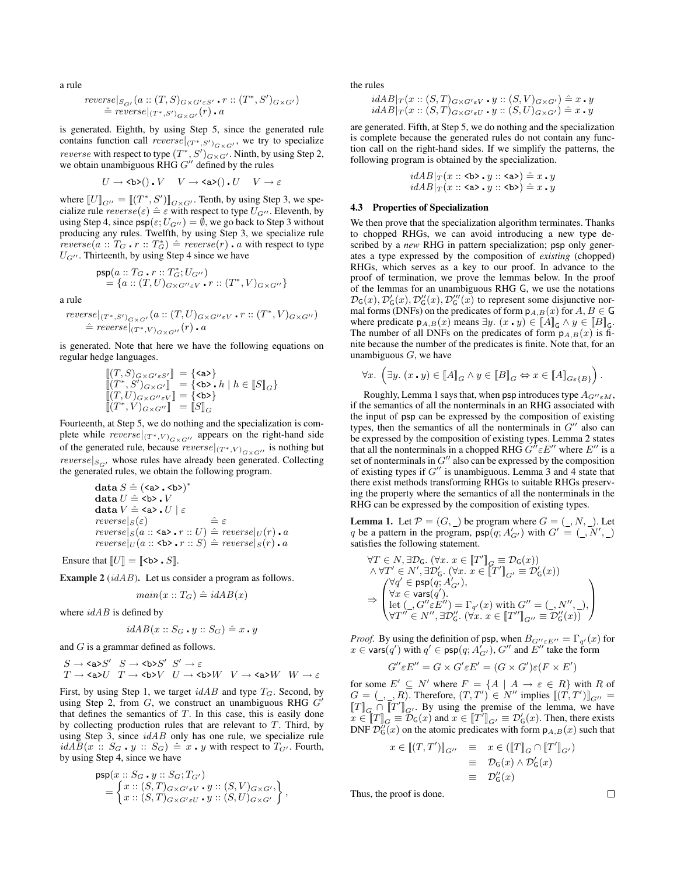a rule

$$
\begin{array}{l}\n \text{reverse}|_{S_{G'}}(a::(T,S)_{G\times G'\in S'} \cdot r::(T^*,S')_{G\times G'}) \\
 \hat{=} \text{ reverse}|_{(T^*,S')_{G\times G'}}(r) \cdot a\n \end{array}
$$

is generated. Eighth, by using Step 5, since the generated rule contains function call *reverse* $|_{(T^*,S')_{G\times G'}}$ , we try to specialize *reverse* with respect to type  $(T^*, S')_{G \times G'}$ . Ninth, by using Step 2, we obtain unambiguous  $\overline{R}$ HG  $G''$  defined by the rules

$$
U \to \text{cb}(\text{)}\text{. } V \quad V \to \text{ca}(\text{)}\text{. } U \quad V \to \varepsilon
$$

where  $[[U]]_{G^{\prime\prime}} = [[(T^*, S')]_{G \times G^{\prime}}$ . Tenth, by using Step 3, we specialize rule  $reverse(\varepsilon) \triangleq \varepsilon$  with respect to type  $U_{G}$ *<sup><i>n*</sup></sup>. Eleventh, by using Step 4, since  $\text{psp}(\varepsilon; U_{G^{\prime\prime}}) = \emptyset$ , we go back to Step 3 without producing any rules. Twelfth, by using Step 3, we specialize rule  $reverse(a :: T_G \cdot r :: T_G^*) \triangleq reverse(r) \cdot a$  with respect to type  $U_{G}$ <sup> $\prime\prime$ </sup>. Thirteenth, by using Step 4 since we have

$$
\begin{array}{l} \mathsf{psp}(a::T_G\centerdot r::T_G^*;U_{G^{\prime\prime}}) \\ = \{a::(T,U)_{G\times G^{\prime\prime}\varepsilon V}\centerdot r::(T^*,V)_{G\times G^{\prime\prime}}\} \end{array}
$$

a rule

$$
\begin{aligned}\nreverse|_{(T^*,S')_{G\times G'}}(a::(T,U)_{G\times G''\varepsilon V}\cdot r::(T^*,V)_{G\times G''}) \\
&\triangleq reverse|_{(T^*,V)_{G\times G''}}(r)\cdot a\n\end{aligned}
$$

is generated. Note that here we have the following equations on regular hedge languages.

$$
\begin{array}{l}\n\left[\left(T,S\right)_{G\times G'\varepsilon S'}\right] = \{\texttt{} \} \\
\left\[\left\(T^\*,S'\right\)\_{G\times G'}\right\] = \{\texttt{.} h \mid h\in \llbracket S \rrbracket\_G\} \\
\left\[\left\(T,U\right\)\_{G\times G''\varepsilon V}\right\] = \{\texttt{.} h \} \\
\left\[\left\(T^\*,V\right\)\_{G\times G''}\right\] = \left\[\left\|S\right\|\_G\n\end{array}
$$

Fourteenth, at Step 5, we do nothing and the specialization is complete while  $reverse|_{(T^*,V)_{G\times G'}}$  appears on the right-hand side of the generated rule, because  $reverse|_{(T^*,V)_{G\times G''}}$  is nothing but *reverse* $|S_{\alpha\beta}|$  whose rules have already been generated. Collecting the generated rules, we obtain the following program.

$$
\begin{array}{l} \text{data } S \mathrel{\hat=} (\texttt{<} \texttt{a>.<} \texttt{b>})^*\\ \text{data } U \mathrel{\hat=} \texttt{<} \texttt{b>.}&V\\ \text{data } V \mathrel{\hat=} \texttt{<} \texttt{a>.}&U \mid \varepsilon\\ \textit{reverse}|_S(\varepsilon) & \mathrel{\hat=} \varepsilon\\ \textit{reverse}|_S(a::\texttt{<} \texttt{a>.}&r::U) \mathrel{\hat=} \textit{reverse}|_U(r)\textit{.}&\textit{a}\\ \textit{reverse}|_U(a::\texttt{<} \texttt{b>.}&r::S) \mathrel{\hat=} \textit{reverse}|_S(r)\textit{.}&\textit{a} \end{array}
$$

Ensure that  $\llbracket U \rrbracket = \llbracket \langle \mathsf{b} \rangle \cdot S \rrbracket$ .

Example 2 (*idAB*). Let us consider a program as follows.

$$
main(x::T_G) \hat{=} \mathit{idAB}(x)
$$

where *idAB* is defined by

$$
idAB(x::S_G \cdot y::S_G) \hat{=} x \cdot y
$$

and *G* is a grammar defined as follows.

$$
\begin{array}{ccc} S \to \text{a} \text{a} S' & S \to \text{b} \text{b} S' & S' \to \varepsilon \\ T \to \text{a} \text{a} U & T \to \text{b} \text{b} V & U \to \text{b} \text{b} W & V \to \text{a} \text{a} \text{b} W & W \to \varepsilon \end{array}
$$

First, by using Step 1, we target *idAB* and type *TG*. Second, by using Step 2, from  $G$ , we construct an unambiguous RHG  $G'$ that defines the semantics of *T*. In this case, this is easily done by collecting production rules that are relevant to *T*. Third, by using Step 3, since *idAB* only has one rule, we specialize rule  $idAB(x :: S_G \cdot y :: S_G) \triangleq x \cdot y$  with respect to  $T_{G'}$ . Fourth, by using Step 4, since we have

$$
\begin{aligned} \mathsf{psp}(x :: S_G \cdot y :: S_G; T_{G'}) \\ &= \begin{Bmatrix} x :: (S, T)_{G \times G' \varepsilon V} \cdot y :: (S, V)_{G \times G'}, \\ x :: (S, T)_{G \times G' \varepsilon U} \cdot y :: (S, U)_{G \times G'} \end{Bmatrix}, \end{aligned}
$$

the rules

$$
idAB|_{T}(x::(S,T)_{G\times G'\varepsilon V}\cdot y::(S,V)_{G\times G'})\stackrel{\scriptscriptstyle\triangle}{=} x\cdot y
$$
  
\n
$$
idAB|_{T}(x::(S,T)_{G\times G'\varepsilon U}\cdot y::(S,U)_{G\times G'})\stackrel{\scriptscriptstyle\triangle}{=} x\cdot y
$$

are generated. Fifth, at Step 5, we do nothing and the specialization is complete because the generated rules do not contain any function call on the right-hand sides. If we simplify the patterns, the following program is obtained by the specialization.

$$
idAB|_T(x::b• y::a) \hat{=} x \cdot y
$$
  

$$
idAB|_T(x::a• y::b) \hat{=} x \cdot y
$$

## 4.3 Properties of Specialization

We then prove that the specialization algorithm terminates. Thanks to chopped RHGs, we can avoid introducing a new type described by a *new* RHG in pattern specialization; psp only generates a type expressed by the composition of *existing* (chopped) RHGs, which serves as a key to our proof. In advance to the proof of termination, we prove the lemmas below. In the proof of the lemmas for an unambiguous RHG G, we use the notations  $\mathcal{D}_G(x), \mathcal{D}'_G(x), \mathcal{D}''_G(x), \mathcal{D}'''_G(x)$  to represent some disjunctive normal forms (DNFs) on the predicates of form  $p_{A,B}(x)$  for  $A, B \in \mathbb{G}$ where predicate  $p_{A,B}(x)$  means  $\exists y$ .  $(x \cdot y) \in [A]_G \land y \in [B]_G$ . The number of all DNFs on the predicates of form  $p_{A,B}(x)$  is finite because the number of the predicates is finite. Note that, for an unambiguous *G*, we have

$$
\forall x. \ \left(\exists y. \ (x \cdot y) \in \llbracket A \rrbracket_G \land y \in \llbracket B \rrbracket_G \Leftrightarrow x \in \llbracket A \rrbracket_{G \in \{B\}}\right).
$$

Roughly, Lemma 1 says that, when psp introduces type  $A_{G''\epsilon M}$ , if the semantics of all the nonterminals in an RHG associated with the input of psp can be expressed by the composition of existing types, then the semantics of all the nonterminals in  $G''$  also can be expressed by the composition of existing types. Lemma 2 states that all the nonterminals in a chopped RHG  $G^{\hat{\theta}} \varepsilon E^{\theta}$  where  $E^{\theta}$  is a set of nonterminals in  $G''$  also can be expressed by the composition of existing types if  $G''$  is unambiguous. Lemma 3 and 4 state that there exist methods transforming RHGs to suitable RHGs preserving the property where the semantics of all the nonterminals in the RHG can be expressed by the composition of existing types.

**Lemma 1.** Let  $P = (G, \_)$  be program where  $G = (\_, N, \_)$ . Let *q* be a pattern in the program,  $\text{psp}(q; A'_{G'})$  with  $G' = (A \cdot N', B \cdot A')$ satisfies the following statement.

$$
\begin{array}{l} \forall T \in N, \exists \mathcal{D}_{\mathsf{G}}.\ (\forall x.\ x \in \llbracket T' \rrbracket_G \equiv \mathcal{D}_{\mathsf{G}}(x)) \\ \wedge \forall T' \in N', \exists \mathcal{D}'_{\mathsf{G}}.\ (\forall x.\ x \in \llbracket T' \rrbracket_{G'} \equiv \mathcal{D}'_{\mathsf{G}}(x)) \\ \forall q' \in \mathsf{psp}(q; A'_{G'}), \\ \Rightarrow \begin{pmatrix} \forall q' \in \mathsf{psp}(q; A'_{G'}), \\ \forall x \in \mathsf{vars}(q'). \\ \forall T'' \in N'', \exists \mathcal{D}''_{\mathsf{G}}.\ (\forall x.\ x \in \llbracket T'' \rrbracket_{G''} \equiv \mathcal{D}''_{\mathsf{G}}(x)) \end{pmatrix} \end{array}
$$

*Proof.* By using the definition of psp, when  $B_{G''\epsilon E''} = \Gamma_{q'}(x)$  for  $x \in \text{vars}(q')$  with  $q' \in \text{psp}(q; A'_{G'})$ ,  $G''$  and  $E''$  take the form

$$
G''\varepsilon E'' = G \times G'\varepsilon E' = (G \times G')\varepsilon (F \times E')
$$

for some  $E' \subseteq N'$  where  $F = \{A \mid A \rightarrow \varepsilon \in R\}$  with R of *G* =  $($  *− − , R*<sup></sup> $)$ . Therefore,  $(T, T')$   $\in$  *N''* implies  $[(T, T')]$ <sub>*G''*</sub> =  $[T]$ <sub>G</sub>  $\cap$   $[T']$ <sub>G'</sub>. By using the premise of the lemma, we have  $\overline{x} \in [T]_G \equiv \overline{\mathcal{D}}_G(x)$  and  $\overline{x} \in [T']_{G'} \equiv \mathcal{D}'_G(x)$ . Then, there exists DNF  $\mathcal{D}_G''(x)$  on the atomic predicates with form  $p_{A,B}(x)$  such that

$$
x \in [[(T, T')]_{G''} \equiv x \in ([\![T]\!]_G \cap [\![T']\!]_{G'})
$$
  

$$
\equiv \mathcal{D}_G(x) \wedge \mathcal{D}'_G(x)
$$
  

$$
\equiv \mathcal{D}''_G(x)
$$

Thus, the proof is done.

 $\Box$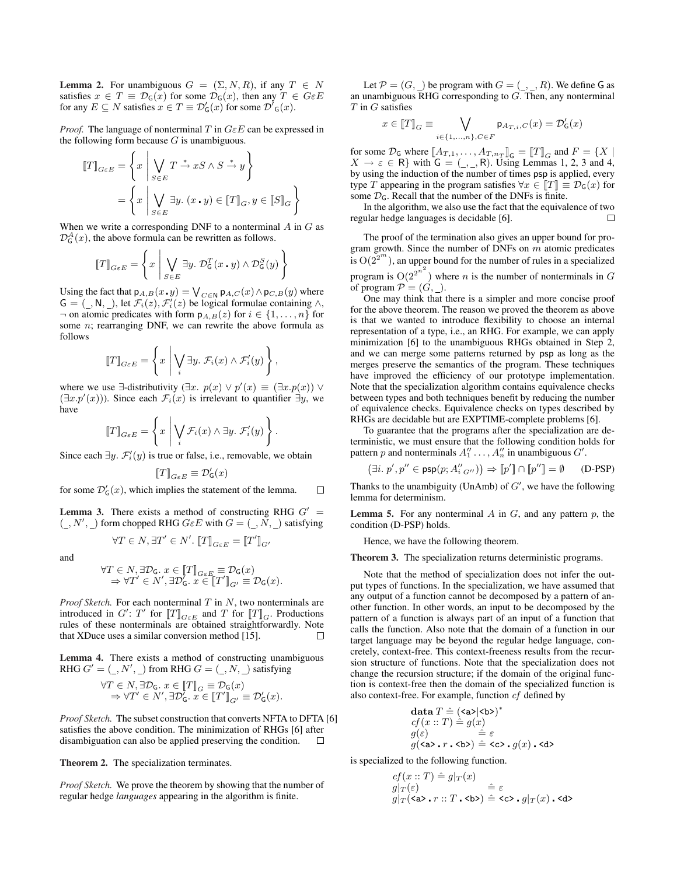**Lemma 2.** For unambiguous  $G = (\Sigma, N, R)$ , if any  $T \in N$ satisfies  $x \in T \equiv \mathcal{D}_G(x)$  for some  $\mathcal{D}_G(x)$ , then any  $T \in G \in E$ for any  $E \subseteq N$  satisfies  $x \in T \equiv \mathcal{D}'_{\mathsf{G}}(x)$  for some  $\mathcal{D}'_{\mathsf{G}}(x)$ .

*Proof.* The language of nonterminal *T* in *GεE* can be expressed in the following form because *G* is unambiguous.

$$
\begin{aligned} \llbracket T \rrbracket_{G \varepsilon E} &= \left\{ x \, \middle| \, \bigvee_{S \in E} T \xrightarrow{\ast} xS \wedge S \xrightarrow{\ast} y \right\} \\ &= \left\{ x \, \middle| \, \bigvee_{S \in E} \exists y. \ (x \centerdot y) \in \llbracket T \rrbracket_G, y \in \llbracket S \rrbracket_G \right\} \end{aligned}
$$

When we write a corresponding DNF to a nonterminal *A* in *G* as  $\mathcal{D}_G^A(x)$ , the above formula can be rewritten as follows.

$$
\llbracket T \rrbracket_{G \in E} = \left\{ x \mid \bigvee_{S \in E} \exists y. \; \mathcal{D}_{\mathsf{G}}^T(x \cdot y) \land \mathcal{D}_{\mathsf{G}}^S(y) \right\}
$$

Using the fact that  $p_{A,B}(x, y) = \bigvee_{C \in \mathbb{N}} p_{A,C}(x) \wedge p_{C,B}(y)$  where  $G = (\_, N, \_,)$ , let  $\mathcal{F}_i(z), \mathcal{F}'_i(z)$  be logical formulae containing  $\land$ ,  $\rightarrow$  on atomic predicates with form  $p_{A,B}(z)$  for *i* ∈ {1, ..., *n*} for some *n*; rearranging DNF, we can rewrite the above formula as follows

$$
\llbracket T \rrbracket_{G \in E} = \left\{ x \mid \bigvee_i \exists y. \ \mathcal{F}_i(x) \wedge \mathcal{F}'_i(y) \right\},\
$$

where we use  $\exists$ -distributivity ( $\exists x. p(x) \lor p'(x) \equiv (\exists x. p(x)) \lor p'(x)$  $(\exists x \cdot p'(x))$ ). Since each  $\mathcal{F}_i(x)$  is irrelevant to quantifier  $\exists y$ , we have

$$
\llbracket T \rrbracket_{G \in E} = \left\{ x \mid \bigvee_i \mathcal{F}_i(x) \land \exists y. \ \mathcal{F}'_i(y) \right\}.
$$

Since each  $\exists y$ .  $\mathcal{F}'_i(y)$  is true or false, i.e., removable, we obtain

$$
[\![T]\!]_{G \varepsilon E} \equiv \mathcal{D}'_\mathsf{G}(x)
$$

for some  $\mathcal{D}'_G(x)$ , which implies the statement of the lemma.  $\Box$ 

**Lemma 3.** There exists a method of constructing RHG  $G'$  =  $($ <sub>  $, N'$ </sub> $)$  form chopped RHG  $G \in E$  with  $G = ($ <sub> $, N$ </sub> $)$  satisfying

$$
\forall T \in N, \exists T' \in N'. \; [\![T]\!]_{G \varepsilon E} = [\![T']\!]_{G'}
$$

and

$$
\forall T \in N, \exists \mathcal{D}_{\mathsf{G}}.\ x \in [T]_{G \in E} \equiv \mathcal{D}_{\mathsf{G}}(x) \Rightarrow \forall T' \in N', \exists \mathcal{D}'_{\mathsf{G}}.\ x \in [T']_{G'} \equiv \mathcal{D}_{\mathsf{G}}(x).
$$

*Proof Sketch.* For each nonterminal *T* in *N*, two nonterminals are introduced in  $G'$ :  $T'$  for  $[[T]]_{G \in E}$  and  $T$  for  $[[T]]_G$ . Productions rules of these nonterminals are obtained straightforwardly. Note that XDuce uses a similar conversion method [15].  $\Box$ 

Lemma 4. There exists a method of constructing unambiguous RHG  $G' = (U, N', U)$  from RHG  $G = (V, N, U)$  satisfying

$$
\forall T \in N, \exists \mathcal{D}_{\mathsf{G}}.\ x \in [T]_G \equiv \mathcal{D}_{\mathsf{G}}(x) \Rightarrow \forall T' \in N', \exists \mathcal{D}'_{\mathsf{G}}.\ x \in [T']_{G'} \equiv \mathcal{D}'_{\mathsf{G}}(x).
$$

*Proof Sketch.* The subset construction that converts NFTA to DFTA [6] satisfies the above condition. The minimization of RHGs [6] after disambiguation can also be applied preserving the condition.  $\Box$ 

Theorem 2. The specialization terminates.

*Proof Sketch.* We prove the theorem by showing that the number of regular hedge *languages* appearing in the algorithm is finite.

Let  $P = (G, \_)$  be program with  $G = (\_, \_, R)$ . We define G as an unambiguous RHG corresponding to *G*. Then, any nonterminal *T* in *G* satisfies

$$
x\in \llbracket T\rrbracket_G\equiv \bigvee_{i\in \{1,...,n\}, C\in F}\mathsf{p}_{A_{T,i},C}(x)=\mathcal{D}_{\mathsf{G}}'(x)
$$

for some  $\mathcal{D}_\mathsf{G}$  where  $[\![A_{T,1}, \ldots, A_{T,n_T}]\!]_\mathsf{G} = [\![T]\!]_G$  and  $F = \{X \mid$  $X \rightarrow \varepsilon \in \mathbb{R}$ } with  $\mathsf{G} = (\_,\_,\mathsf{R})$ . Using Lemmas 1, 2, 3 and 4, by using the induction of the number of times psp is applied, every type *T* appearing in the program satisfies  $\forall x \in [T] \equiv \mathcal{D}_G(x)$  for some  $\mathcal{D}_G$ . Recall that the number of the DNFs is finite.

In the algorithm, we also use the fact that the equivalence of two regular hedge languages is decidable [6]. П

The proof of the termination also gives an upper bound for program growth. Since the number of DNFs on *m* atomic predicates is  $O(2^{2^m})$ , an upper bound for the number of rules in a specialized program is  $O(2^{2^{n^2}})$  where *n* is the number of nonterminals in *G* of program  $\mathcal{P} = (G, \_)$ .

One may think that there is a simpler and more concise proof for the above theorem. The reason we proved the theorem as above is that we wanted to introduce flexibility to choose an internal representation of a type, i.e., an RHG. For example, we can apply minimization [6] to the unambiguous RHGs obtained in Step 2, and we can merge some patterns returned by psp as long as the merges preserve the semantics of the program. These techniques have improved the efficiency of our prototype implementation. Note that the specialization algorithm contains equivalence checks between types and both techniques benefit by reducing the number of equivalence checks. Equivalence checks on types described by RHGs are decidable but are EXPTIME-complete problems [6].

To guarantee that the programs after the specialization are deterministic, we must ensure that the following condition holds for pattern *p* and nonterminals  $A_1'' \ldots, A_n''$  in unambiguous  $G'$ .

$$
\left( \exists i.~ p', p'' \in \mathsf{psp}(p; A''_{i~G''}) \right) \Rightarrow \llbracket p' \rrbracket \cap \llbracket p'' \rrbracket = \emptyset \qquad \text{(D-PSP)}
$$

Thanks to the unambiguity (UnAmb) of  $G'$ , we have the following lemma for determinism.

Lemma 5. For any nonterminal *A* in *G*, and any pattern *p*, the condition (D-PSP) holds.

Hence, we have the following theorem.

Theorem 3. The specialization returns deterministic programs.

Note that the method of specialization does not infer the output types of functions. In the specialization, we have assumed that any output of a function cannot be decomposed by a pattern of another function. In other words, an input to be decomposed by the pattern of a function is always part of an input of a function that calls the function. Also note that the domain of a function in our target language may be beyond the regular hedge language, concretely, context-free. This context-freeness results from the recursion structure of functions. Note that the specialization does not change the recursion structure; if the domain of the original function is context-free then the domain of the specialized function is also context-free. For example, function *cf* defined by

$$
\begin{array}{l} \mbox{\textbf{data}}\, T \mathrel{\hat=} (\texttt{}|\texttt{}>\)^\*\\ \vspace{-1mm} cf\(x::T\) \mathrel{\hat=} g\(x\) \\ \vspace{-1mm} g\(\varepsilon\) \qquad \mathrel{\hat=}\varepsilon\\ \vspace{-1mm} g\(\texttt{} \mathbin{{.r}} \mathbin{\texttt{.>}}\\) \mathrel{\hat=}\n \texttt{} \mathbin{\texttt{.}} g\\(x\\) \mathbin{\texttt{.}} \end{array}
$$

is specialized to the following function.

$$
cf(x::T) \triangleq g|_{T}(x)
$$
  
\n
$$
g|_{T}(\varepsilon) \triangleq \varepsilon
$$
  
\n
$$
g|_{T}(\langle a \rangle \cdot r::T \cdot \langle b \rangle) \triangleq \langle c \rangle \cdot g|_{T}(x) \cdot \langle d \rangle
$$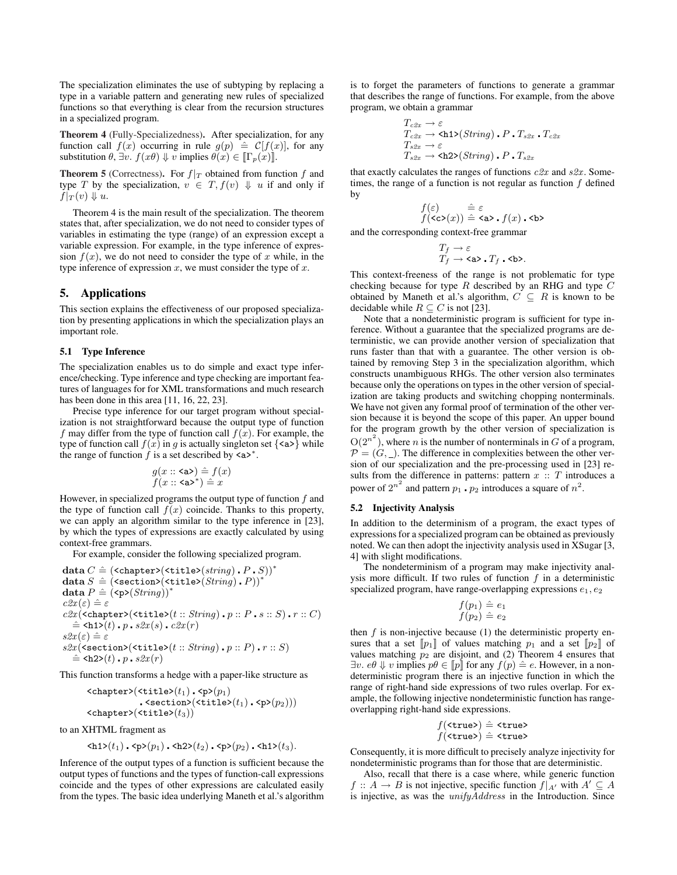The specialization eliminates the use of subtyping by replacing a type in a variable pattern and generating new rules of specialized functions so that everything is clear from the recursion structures in a specialized program.

Theorem 4 (Fully-Specializedness). After specialization, for any function call  $f(x)$  occurring in rule  $g(p) \triangleq C[f(x)]$ , for any substitution  $\theta$ ,  $\exists v$ .  $f(x\theta) \Downarrow v$  implies  $\theta(x) \in [\Gamma_p(x)]$ .

**Theorem 5** (Correctness). For  $f|_T$  obtained from function  $f$  and type *T* by the specialization,  $v \in T$ ,  $f(v) \Downarrow u$  if and only if  $f|_T(v) \Downarrow u$ .

Theorem 4 is the main result of the specialization. The theorem states that, after specialization, we do not need to consider types of variables in estimating the type (range) of an expression except a variable expression. For example, in the type inference of expression  $f(x)$ , we do not need to consider the type of x while, in the type inference of expression *x*, we must consider the type of *x*.

## 5. Applications

This section explains the effectiveness of our proposed specialization by presenting applications in which the specialization plays an important role.

## 5.1 Type Inference

The specialization enables us to do simple and exact type inference/checking. Type inference and type checking are important features of languages for for XML transformations and much research has been done in this area [11, 16, 22, 23].

Precise type inference for our target program without specialization is not straightforward because the output type of function *f* may differ from the type of function call *f*(*x*). For example, the type of function call  $f(x)$  in *g* is actually singleton set  $\{\langle a \rangle\}$  while the range of function  $\hat{f}$  is a set described by <a><sup>\*</sup>.

$$
\begin{array}{c} g(x::\texttt{}\) \mathrel{\hat{=}} f\(x\) \\ f\(x::\texttt{^\\*}\\) \mathrel{\hat{=}} x \end{array}
$$

However, in specialized programs the output type of function *f* and the type of function call  $f(x)$  coincide. Thanks to this property, we can apply an algorithm similar to the type inference in [23], by which the types of expressions are exactly calculated by using context-free grammars.

For example, consider the following specialized program.

$$
\begin{array}{l} \textbf{data } C \mathrel{\hat=} (\texttt{chapter>}(\texttt{title>}(\textit{string}) \text{ . } P \text{ . } S))^{*} \\ \textbf{data } S \mathrel{\hat=} (\texttt{section>}(\texttt{title>}(\textit{String}) \text{ . } P))^{*} \\ \textbf{data } P \mathrel{\hat=} (\texttt{cp>}(\textit{String}))^{*} \\ \textit{c2x}( \varepsilon) \mathrel{\hat=} \varepsilon \\ \textit{c2x}(\texttt{chapters}(\texttt{title>}(t::\textit{String}) \text{ . } p::P \text{ . } s::S) \text{ . } r::C) \\ \mathrel{\hat=} \texttt{ch1>}(t) \text{ . } p \text{ . } s2x(s) \text{ . } c2x(r) \\ \textit{s2x}(\varepsilon) \mathrel{\hat=} \varepsilon \\ \textit{s2x}(\texttt{section>}(\texttt{title>}(t::\textit{String}) \text{ . } p::P) \text{ . } r::S) \\ \mathrel{\hat=} \texttt{ch2>}(t) \text{ . } p \text{ . } s2x(r) \end{array}
$$

This function transforms a hedge with a paper-like structure as

$$
\verb!{cutile>(t_1).sp>(p_1)}{.\verb!(title>(t_1).sp>(p_2))})\verb!<\verb!(title>(t_1).sp>(p_2))|
$$

to an XHTML fragment as

$$
\langle h1\rangle(t_1) \cdot \langle p\rangle(p_1) \cdot \langle h2\rangle(t_2) \cdot \langle p\rangle(p_2) \cdot \langle h1\rangle(t_3).
$$

Inference of the output types of a function is sufficient because the output types of functions and the types of function-call expressions coincide and the types of other expressions are calculated easily from the types. The basic idea underlying Maneth et al.'s algorithm is to forget the parameters of functions to generate a grammar that describes the range of functions. For example, from the above program, we obtain a grammar

$$
T_{c2x} \rightarrow \varepsilon
$$
  
\n
$$
T_{c2x} \rightarrow \text{ch1}(\text{String}) \cdot P \cdot T_{s2x} \cdot T_{c2x}
$$
  
\n
$$
T_{s2x} \rightarrow \varepsilon
$$
  
\n
$$
T_{s2x} \rightarrow \text{ch2}(\text{String}) \cdot P \cdot T_{s2x}
$$

that exactly calculates the ranges of functions *c2x* and *s2x* . Sometimes, the range of a function is not regular as function *f* defined by

$$
\begin{array}{ll} f(\varepsilon) & \hat{=} \varepsilon \\ f(\texttt{cc}\texttt{>(}x)) \hat{=} \texttt{} \cdot f\(x\) \cdot \texttt{} \end{array}
$$

and the corresponding context-free grammar

$$
\begin{array}{l} T_f \to \varepsilon \\ T_f \to \text{a} \text{>}. \ T_f \text{ . } \text{b} \text{>}. \end{array}
$$

This context-freeness of the range is not problematic for type checking because for type *R* described by an RHG and type *C* obtained by Maneth et al.'s algorithm,  $C \subseteq R$  is known to be decidable while  $R \subseteq C$  is not [23].

Note that a nondeterministic program is sufficient for type inference. Without a guarantee that the specialized programs are deterministic, we can provide another version of specialization that runs faster than that with a guarantee. The other version is obtained by removing Step 3 in the specialization algorithm, which constructs unambiguous RHGs. The other version also terminates because only the operations on types in the other version of specialization are taking products and switching chopping nonterminals. We have not given any formal proof of termination of the other version because it is beyond the scope of this paper. An upper bound for the program growth by the other version of specialization is  $O(2^{n^2})$ , where *n* is the number of nonterminals in *G* of a program,  $P = (G, \_)$ . The difference in complexities between the other version of our specialization and the pre-processing used in [23] results from the difference in patterns: pattern  $x : T$  introduces a power of  $2^{n^2}$  and pattern  $p_1 \cdot p_2$  introduces a square of  $n^2$ .

## 5.2 Injectivity Analysis

In addition to the determinism of a program, the exact types of expressions for a specialized program can be obtained as previously noted. We can then adopt the injectivity analysis used in XSugar [3, 4] with slight modifications.

The nondeterminism of a program may make injectivity analysis more difficult. If two rules of function *f* in a deterministic specialized program, have range-overlapping expressions  $e_1, e_2$ 

$$
f(p_1) \hat{=} e_1
$$
  

$$
f(p_2) \hat{=} e_2
$$

then  $f$  is non-injective because  $(1)$  the deterministic property ensures that a set  $[p_1]$  of values matching  $p_1$  and a set  $[p_2]$  of values matching  $p_2$  are disjoint, and (2) Theorem 4 ensures that *∃v. eθ*  $\Downarrow$  *v* implies  $p\theta \in [p]$  for any  $f(p) \triangleq e$ . However, in a nondeterministic program there is an injective function in which the range of right-hand side expressions of two rules overlap. For example, the following injective nondeterministic function has rangeoverlapping right-hand side expressions.

$$
f(\text{strue>}) \hat{=} \text{strue>} f(\text{strue>}) \hat{=} \text{strue>}
$$

Consequently, it is more difficult to precisely analyze injectivity for nondeterministic programs than for those that are deterministic.

Also, recall that there is a case where, while generic function *f* :: *A*  $\rightarrow$  *B* is not injective, specific function  $f|_{A'}$  with  $A' \subseteq A$ is injective, as was the *unifyAddress* in the Introduction. Since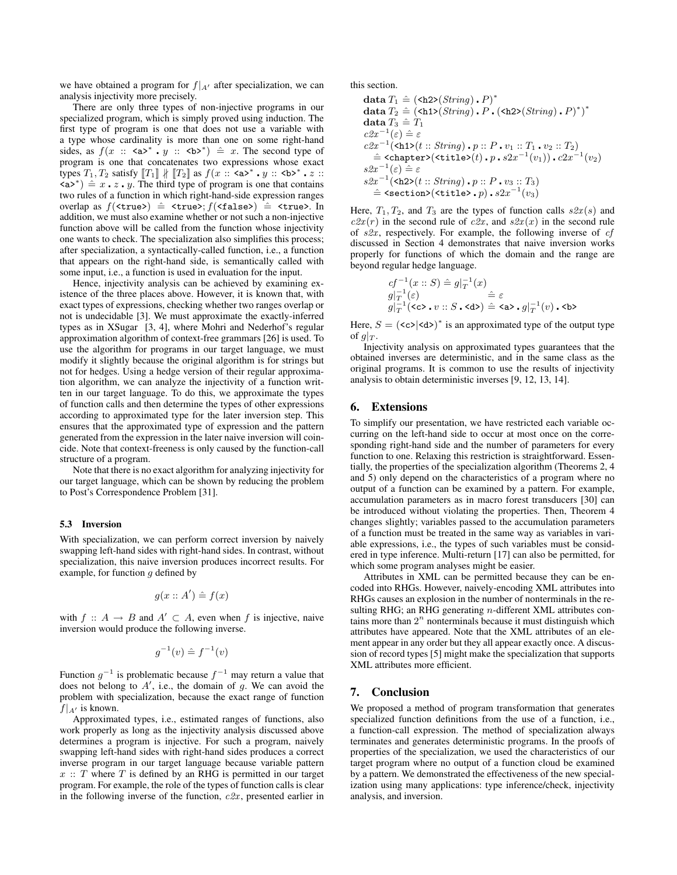we have obtained a program for  $f|_{A}$ <sup>*i*</sup> after specialization, we can analysis injectivity more precisely.

There are only three types of non-injective programs in our specialized program, which is simply proved using induction. The first type of program is one that does not use a variable with a type whose cardinality is more than one on some right-hand sides, as  $f(x :: \langle a \rangle^* \cdot y :: \langle b \rangle^*) \triangleq x$ . The second type of program is one that concatenates two expressions whose exact types  $T_1, T_2$  satisfy  $[[T_1]] \nparallel [[T_2]]$  as  $f(x :: \langle a \rangle^* \cdot y :: \langle b \rangle^* \cdot z ::$  $\langle a \rangle^*$  = *x*  $\cdot$  *z*  $\cdot$  *y*. The third type of program is one that contains two rules of a function in which right-hand-side expression ranges overlap as  $f(\text{strue}) \triangleq \text{strue}$ ;  $f(\text{stalse}) \triangleq \text{strue}$ . In addition, we must also examine whether or not such a non-injective function above will be called from the function whose injectivity one wants to check. The specialization also simplifies this process; after specialization, a syntactically-called function, i.e., a function that appears on the right-hand side, is semantically called with some input, i.e., a function is used in evaluation for the input.

Hence, injectivity analysis can be achieved by examining existence of the three places above. However, it is known that, with exact types of expressions, checking whether two ranges overlap or not is undecidable [3]. We must approximate the exactly-inferred types as in XSugar [3, 4], where Mohri and Nederhof's regular approximation algorithm of context-free grammars [26] is used. To use the algorithm for programs in our target language, we must modify it slightly because the original algorithm is for strings but not for hedges. Using a hedge version of their regular approximation algorithm, we can analyze the injectivity of a function written in our target language. To do this, we approximate the types of function calls and then determine the types of other expressions according to approximated type for the later inversion step. This ensures that the approximated type of expression and the pattern generated from the expression in the later naive inversion will coincide. Note that context-freeness is only caused by the function-call structure of a program.

Note that there is no exact algorithm for analyzing injectivity for our target language, which can be shown by reducing the problem to Post's Correspondence Problem [31].

## 5.3 Inversion

With specialization, we can perform correct inversion by naively swapping left-hand sides with right-hand sides. In contrast, without specialization, this naive inversion produces incorrect results. For example, for function *g* defined by

$$
g(x:: A') \triangleq f(x)
$$

with  $f :: A \rightarrow B$  and  $A' \subset A$ , even when  $f$  is injective, naive inversion would produce the following inverse.

$$
g^{-1}(v) \hat{=} f^{-1}(v)
$$

Function *g −*1 is problematic because *f <sup>−</sup>*<sup>1</sup> may return a value that does not belong to  $A'$ , i.e., the domain of  $g$ . We can avoid the problem with specialization, because the exact range of function  $f|_{A}$ <sup>*i*</sup> is known.

Approximated types, i.e., estimated ranges of functions, also work properly as long as the injectivity analysis discussed above determines a program is injective. For such a program, naively swapping left-hand sides with right-hand sides produces a correct inverse program in our target language because variable pattern *x* :: *T* where *T* is defined by an RHG is permitted in our target program. For example, the role of the types of function calls is clear in the following inverse of the function,  $c2x$ , presented earlier in this section.

$$
\begin{array}{l} \text{{\bf data }}T_1 \mathrel{\hat=} (\text{{\tt \hat{A}2}}\text{{\tt >}}(\text{{\tt String}})\centerdot P)^*\\ \text{{\bf data }}T_2 \mathrel{\hat=} (\text{{\tt \hat{A}1}}\text{{\tt >}}(\text{{\tt String}})\centerdot P\centerdot (\text{{\tt \hat{A}2}}\text{{\tt >}}(\text{{\tt String}})\centerdot P)^*)^*\\ \text{{\bf data }}T_3 \mathrel{\hat=} T_1\\ c\text{$2x^{-1}(\varepsilon) \mathrel{\hat=}\varepsilon}\\ c\text{$2x^{-1}$}(\varepsilon)\mathrel{\hat=}\varepsilon\\ c\text{$2x^{-1}(\varepsilon)$+}(\varepsilon)\text{ ::}(\text{{\tt String}})\centerdot p::P\centerdot v_1::T_1\centerdot v_2::T_2)\\ \mathrel{\hat=}\text{{\tt \hat{A}}}({\tt chapter}\text{{\tt >}}(\text{{\tt \hat{t}ttile}})\text{{\tt (}})\centerdot p\centerdot s\text{$2x^{-1}(v_1)$}\centerdot c\text{$2x^{-1}(v_2)$}\\ s\text{$2x^{-1}(\varepsilon) \mathrel{\hat=}\varepsilon\\ s\text{$2x^{-1}(\varepsilon)$+}(\text{{\tt \hat{A}2}}\text{{\tt >}}(\varepsilon::\text{String})\centerdot p::P\centerdot v_3::T_3)\\ \mathrel{\hat=}\text{{\tt \hat{A}}}({\tt section}\text{{\tt >}}(\text{{\tt \hat{t}ttle}}\text{{\tt \hat{A}}}\centerdot p)\centerdot s\text{$2x^{-1}(v_3)$} \end{array}
$$

Here,  $T_1, T_2$ , and  $T_3$  are the types of function calls  $s2x(s)$  and  $c2x(r)$  in the second rule of  $c2x$ , and  $s2x(x)$  in the second rule of *s2x* , respectively. For example, the following inverse of *cf* discussed in Section 4 demonstrates that naive inversion works properly for functions of which the domain and the range are beyond regular hedge language.

$$
cf^{-1}(x::S) \hat{=} g|_{T}^{-1}(x)
$$
  
\n
$$
g|_{T}^{-1}(\varepsilon)
$$
  
\n
$$
g|_{T}^{-1}(\langle \mathbf{c} \rangle \cdot v::S \cdot \langle \mathbf{d} \rangle) \hat{=} \langle \mathbf{a} \rangle \cdot g|_{T}^{-1}(v) \cdot \langle \mathbf{b} \rangle
$$

Here,  $S = (\langle c \rangle | \langle d \rangle)^*$  is an approximated type of the output type of  $g|_T$ .

Injectivity analysis on approximated types guarantees that the obtained inverses are deterministic, and in the same class as the original programs. It is common to use the results of injectivity analysis to obtain deterministic inverses [9, 12, 13, 14].

# 6. Extensions

To simplify our presentation, we have restricted each variable occurring on the left-hand side to occur at most once on the corresponding right-hand side and the number of parameters for every function to one. Relaxing this restriction is straightforward. Essentially, the properties of the specialization algorithm (Theorems 2, 4 and 5) only depend on the characteristics of a program where no output of a function can be examined by a pattern. For example, accumulation parameters as in macro forest transducers [30] can be introduced without violating the properties. Then, Theorem 4 changes slightly; variables passed to the accumulation parameters of a function must be treated in the same way as variables in variable expressions, i.e., the types of such variables must be considered in type inference. Multi-return [17] can also be permitted, for which some program analyses might be easier.

Attributes in XML can be permitted because they can be encoded into RHGs. However, naively-encoding XML attributes into RHGs causes an explosion in the number of nonterminals in the resulting RHG; an RHG generating *n*-different XML attributes contains more than  $2^n$  nonterminals because it must distinguish which attributes have appeared. Note that the XML attributes of an element appear in any order but they all appear exactly once. A discussion of record types [5] might make the specialization that supports XML attributes more efficient.

# 7. Conclusion

We proposed a method of program transformation that generates specialized function definitions from the use of a function, i.e., a function-call expression. The method of specialization always terminates and generates deterministic programs. In the proofs of properties of the specialization, we used the characteristics of our target program where no output of a function cloud be examined by a pattern. We demonstrated the effectiveness of the new specialization using many applications: type inference/check, injectivity analysis, and inversion.